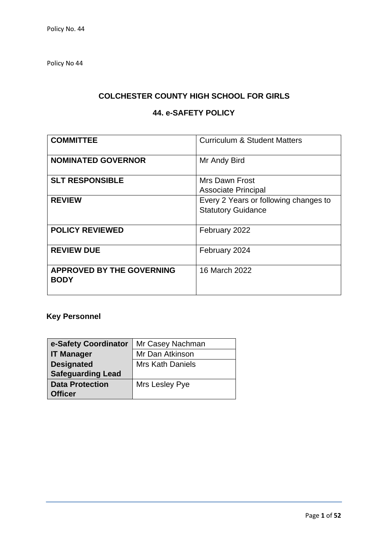Policy No 44

# **COLCHESTER COUNTY HIGH SCHOOL FOR GIRLS**

# **44. e-SAFETY POLICY**

| <b>COMMITTEE</b>                                | <b>Curriculum &amp; Student Matters</b> |
|-------------------------------------------------|-----------------------------------------|
| <b>NOMINATED GOVERNOR</b>                       | Mr Andy Bird                            |
| <b>SLT RESPONSIBLE</b>                          | Mrs Dawn Frost                          |
|                                                 | <b>Associate Principal</b>              |
| <b>REVIEW</b>                                   | Every 2 Years or following changes to   |
|                                                 | <b>Statutory Guidance</b>               |
|                                                 |                                         |
| <b>POLICY REVIEWED</b>                          | February 2022                           |
|                                                 |                                         |
| <b>REVIEW DUE</b>                               | February 2024                           |
|                                                 |                                         |
| <b>APPROVED BY THE GOVERNING</b><br><b>BODY</b> | 16 March 2022                           |

# **Key Personnel**

| e-Safety Coordinator     | Mr Casey Nachman        |
|--------------------------|-------------------------|
| <b>IT Manager</b>        | Mr Dan Atkinson         |
| <b>Designated</b>        | <b>Mrs Kath Daniels</b> |
| <b>Safeguarding Lead</b> |                         |
| <b>Data Protection</b>   | Mrs Lesley Pye          |
| <b>Officer</b>           |                         |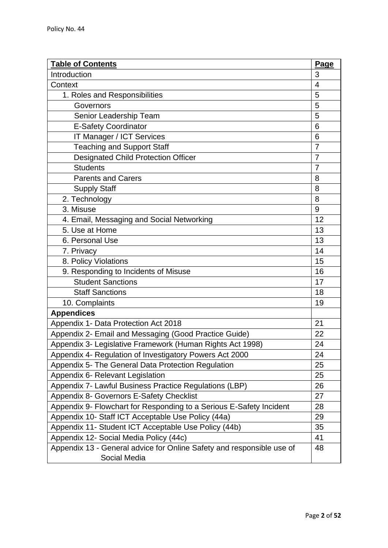| <b>Table of Contents</b>                                                              | Page           |
|---------------------------------------------------------------------------------------|----------------|
| Introduction                                                                          | 3              |
| Context                                                                               | 4              |
| 1. Roles and Responsibilities                                                         | 5              |
| Governors                                                                             | 5              |
| Senior Leadership Team                                                                | 5              |
| <b>E-Safety Coordinator</b>                                                           | 6              |
| IT Manager / ICT Services                                                             | 6              |
| <b>Teaching and Support Staff</b>                                                     | $\overline{7}$ |
| <b>Designated Child Protection Officer</b>                                            | $\overline{7}$ |
| <b>Students</b>                                                                       | $\overline{7}$ |
| <b>Parents and Carers</b>                                                             | 8              |
| <b>Supply Staff</b>                                                                   | 8              |
| 2. Technology                                                                         | 8              |
| 3. Misuse                                                                             | 9              |
| 4. Email, Messaging and Social Networking                                             | 12             |
| 5. Use at Home                                                                        | 13             |
| 6. Personal Use                                                                       | 13             |
| 7. Privacy                                                                            | 14             |
| 8. Policy Violations                                                                  | 15             |
| 9. Responding to Incidents of Misuse                                                  | 16             |
| <b>Student Sanctions</b>                                                              | 17             |
| <b>Staff Sanctions</b>                                                                | 18             |
| 10. Complaints                                                                        | 19             |
| <b>Appendices</b>                                                                     |                |
| Appendix 1- Data Protection Act 2018                                                  | 21             |
| Appendix 2- Email and Messaging (Good Practice Guide)                                 | 22             |
| Appendix 3- Legislative Framework (Human Rights Act 1998)                             | 24             |
| Appendix 4- Regulation of Investigatory Powers Act 2000                               | 24             |
| Appendix 5- The General Data Protection Regulation                                    | 25             |
| Appendix 6- Relevant Legislation                                                      | 25             |
| Appendix 7- Lawful Business Practice Regulations (LBP)                                | 26             |
| Appendix 8- Governors E-Safety Checklist                                              | 27             |
| Appendix 9- Flowchart for Responding to a Serious E-Safety Incident                   | 28             |
| Appendix 10- Staff ICT Acceptable Use Policy (44a)                                    | 29             |
| Appendix 11- Student ICT Acceptable Use Policy (44b)                                  | 35             |
| Appendix 12- Social Media Policy (44c)                                                | 41             |
| Appendix 13 - General advice for Online Safety and responsible use of<br>Social Media | 48             |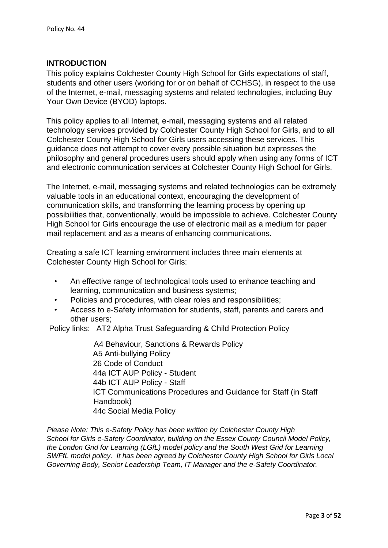### **INTRODUCTION**

This policy explains Colchester County High School for Girls expectations of staff, students and other users (working for or on behalf of CCHSG), in respect to the use of the Internet, e-mail, messaging systems and related technologies, including Buy Your Own Device (BYOD) laptops.

This policy applies to all Internet, e-mail, messaging systems and all related technology services provided by Colchester County High School for Girls, and to all Colchester County High School for Girls users accessing these services. This guidance does not attempt to cover every possible situation but expresses the philosophy and general procedures users should apply when using any forms of ICT and electronic communication services at Colchester County High School for Girls.

The Internet, e-mail, messaging systems and related technologies can be extremely valuable tools in an educational context, encouraging the development of communication skills, and transforming the learning process by opening up possibilities that, conventionally, would be impossible to achieve. Colchester County High School for Girls encourage the use of electronic mail as a medium for paper mail replacement and as a means of enhancing communications.

Creating a safe ICT learning environment includes three main elements at Colchester County High School for Girls:

- An effective range of technological tools used to enhance teaching and learning, communication and business systems;
- Policies and procedures, with clear roles and responsibilities;
- Access to e-Safety information for students, staff, parents and carers and other users;

Policy links: AT2 Alpha Trust Safeguarding & Child Protection Policy

A4 Behaviour, Sanctions & Rewards Policy A5 Anti-bullying Policy 26 Code of Conduct 44a ICT AUP Policy - Student 44b ICT AUP Policy - Staff ICT Communications Procedures and Guidance for Staff (in Staff Handbook) 44c Social Media Policy

*Please Note: This e-Safety Policy has been written by Colchester County High School for Girls e-Safety Coordinator, building on the Essex County Council Model Policy, the London Grid for Learning (LGfL) model policy and the South West Grid for Learning SWFfL model policy. It has been agreed by Colchester County High School for Girls Local Governing Body, Senior Leadership Team, IT Manager and the e-Safety Coordinator.*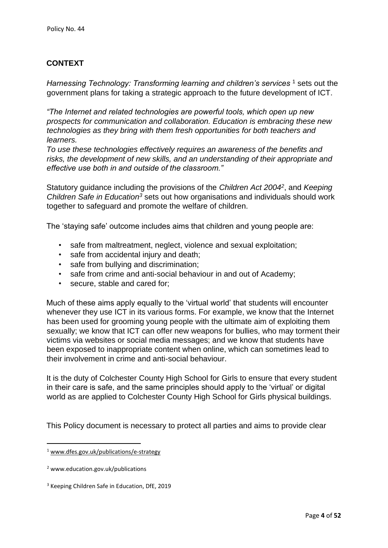# **CONTEXT**

*Harnessing Technology: Transforming learning and children's services* <sup>1</sup> sets out the government plans for taking a strategic approach to the future development of ICT.

*"The Internet and related technologies are powerful tools, which open up new prospects for communication and collaboration. Education is embracing these new technologies as they bring with them fresh opportunities for both teachers and learners.* 

*To use these technologies effectively requires an awareness of the benefits and risks, the development of new skills, and an understanding of their appropriate and effective use both in and outside of the classroom."*

Statutory guidance including the provisions of the *Children Act 2004<sup>2</sup>* , and *Keeping Children Safe in Education<sup>3</sup>* sets out how organisations and individuals should work together to safeguard and promote the welfare of children.

The 'staying safe' outcome includes aims that children and young people are:

- safe from maltreatment, neglect, violence and sexual exploitation;
- safe from accidental injury and death;
- safe from bullying and discrimination;
- safe from crime and anti-social behaviour in and out of Academy;
- secure, stable and cared for;

Much of these aims apply equally to the 'virtual world' that students will encounter whenever they use ICT in its various forms. For example, we know that the Internet has been used for grooming young people with the ultimate aim of exploiting them sexually; we know that ICT can offer new weapons for bullies, who may torment their victims via websites or social media messages; and we know that students have been exposed to inappropriate content when online, which can sometimes lead to their involvement in crime and anti-social behaviour.

It is the duty of Colchester County High School for Girls to ensure that every student in their care is safe, and the same principles should apply to the 'virtual' or digital world as are applied to Colchester County High School for Girls physical buildings.

This Policy document is necessary to protect all parties and aims to provide clear

<sup>1</sup> [www.dfes.gov.uk/publications/e-strategy](http://www.dfes.gov.uk/publications/e-strategy)

<sup>2</sup> www.education.gov.uk/publications

<sup>&</sup>lt;sup>3</sup> Keeping Children Safe in Education, DfE, 2019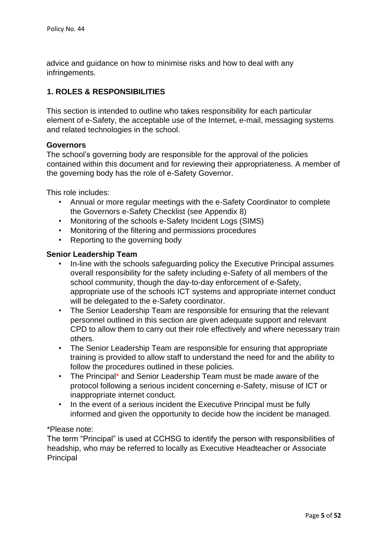advice and guidance on how to minimise risks and how to deal with any infringements.

# **1. ROLES & RESPONSIBILITIES**

This section is intended to outline who takes responsibility for each particular element of e-Safety, the acceptable use of the Internet, e-mail, messaging systems and related technologies in the school.

### **Governors**

The school's governing body are responsible for the approval of the policies contained within this document and for reviewing their appropriateness. A member of the governing body has the role of e-Safety Governor.

This role includes:

- Annual or more regular meetings with the e-Safety Coordinator to complete the Governors e-Safety Checklist (see Appendix 8)
- Monitoring of the schools e-Safety Incident Logs (SIMS)
- Monitoring of the filtering and permissions procedures
- Reporting to the governing body

### **Senior Leadership Team**

- In-line with the schools safeguarding policy the Executive Principal assumes overall responsibility for the safety including e-Safety of all members of the school community, though the day-to-day enforcement of e-Safety, appropriate use of the schools ICT systems and appropriate internet conduct will be delegated to the e-Safety coordinator.
- The Senior Leadership Team are responsible for ensuring that the relevant personnel outlined in this section are given adequate support and relevant CPD to allow them to carry out their role effectively and where necessary train others.
- The Senior Leadership Team are responsible for ensuring that appropriate training is provided to allow staff to understand the need for and the ability to follow the procedures outlined in these policies.
- The Principal\* and Senior Leadership Team must be made aware of the protocol following a serious incident concerning e-Safety, misuse of ICT or inappropriate internet conduct.
- In the event of a serious incident the Executive Principal must be fully informed and given the opportunity to decide how the incident be managed.

### \*Please note:

The term "Principal" is used at CCHSG to identify the person with responsibilities of headship, who may be referred to locally as Executive Headteacher or Associate **Principal**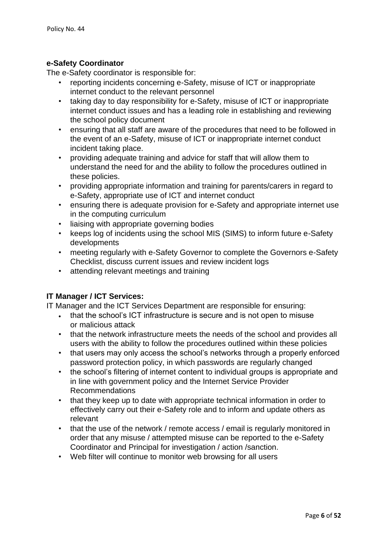### **e-Safety Coordinator**

The e-Safety coordinator is responsible for:

- reporting incidents concerning e-Safety, misuse of ICT or inappropriate internet conduct to the relevant personnel
- taking day to day responsibility for e-Safety, misuse of ICT or inappropriate internet conduct issues and has a leading role in establishing and reviewing the school policy document
- ensuring that all staff are aware of the procedures that need to be followed in the event of an e-Safety, misuse of ICT or inappropriate internet conduct incident taking place.
- providing adequate training and advice for staff that will allow them to understand the need for and the ability to follow the procedures outlined in these policies.
- providing appropriate information and training for parents/carers in regard to e-Safety, appropriate use of ICT and internet conduct
- ensuring there is adequate provision for e-Safety and appropriate internet use in the computing curriculum
- liaising with appropriate governing bodies
- keeps log of incidents using the school MIS (SIMS) to inform future e-Safety developments
- meeting regularly with e-Safety Governor to complete the Governors e-Safety Checklist, discuss current issues and review incident logs
- attending relevant meetings and training

### **IT Manager / ICT Services:**

IT Manager and the ICT Services Department are responsible for ensuring:

- that the school's ICT infrastructure is secure and is not open to misuse or malicious attack
- that the network infrastructure meets the needs of the school and provides all users with the ability to follow the procedures outlined within these policies
- that users may only access the school's networks through a properly enforced password protection policy, in which passwords are regularly changed
- the school's filtering of internet content to individual groups is appropriate and in line with government policy and the Internet Service Provider Recommendations
- that they keep up to date with appropriate technical information in order to effectively carry out their e-Safety role and to inform and update others as relevant
- that the use of the network / remote access / email is regularly monitored in order that any misuse / attempted misuse can be reported to the e-Safety Coordinator and Principal for investigation / action /sanction.
- Web filter will continue to monitor web browsing for all users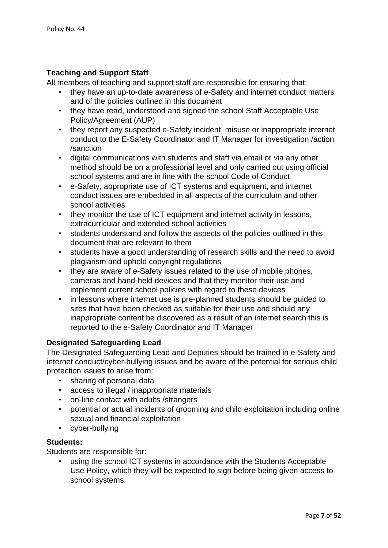### **Teaching and Support Staff**

All members of teaching and support staff are responsible for ensuring that:

- they have an up-to-date awareness of e-Safety and internet conduct matters and of the policies outlined in this document
- they have read, understood and signed the school Staff Acceptable Use Policy/Agreement (AUP)
- they report any suspected e-Safety incident, misuse or inappropriate internet conduct to the E-Safety Coordinator and IT Manager for investigation /action /sanction
- digital communications with students and staff via email or via any other method should be on a professional level and only carried out using official school systems and are in line with the school Code of Conduct
- e-Safety, appropriate use of ICT systems and equipment, and internet conduct issues are embedded in all aspects of the curriculum and other school activities
- they monitor the use of ICT equipment and internet activity in lessons, extracurricular and extended school activities
- students understand and follow the aspects of the policies outlined in this document that are relevant to them
- students have a good understanding of research skills and the need to avoid plagiarism and uphold copyright regulations
- they are aware of e-Safety issues related to the use of mobile phones, cameras and hand-held devices and that they monitor their use and implement current school policies with regard to these devices
- in lessons where internet use is pre-planned students should be guided to sites that have been checked as suitable for their use and should any inappropriate content be discovered as a result of an internet search this is reported to the e-Safety Coordinator and IT Manager

### **Designated Safeguarding Lead**

The Designated Safeguarding Lead and Deputies should be trained in e-Safety and internet conduct/cyber-bullying issues and be aware of the potential for serious child protection issues to arise from:

- sharing of personal data
- access to illegal / inappropriate materials
- on-line contact with adults /strangers
- potential or actual incidents of grooming and child exploitation including online sexual and financial exploitation
- cyber-bullying

### **Students:**

Students are responsible for:

• using the school ICT systems in accordance with the Students Acceptable Use Policy, which they will be expected to sign before being given access to school systems.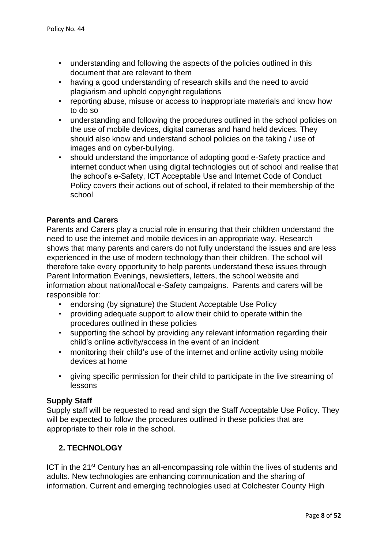- understanding and following the aspects of the policies outlined in this document that are relevant to them
- having a good understanding of research skills and the need to avoid plagiarism and uphold copyright regulations
- reporting abuse, misuse or access to inappropriate materials and know how to do so
- understanding and following the procedures outlined in the school policies on the use of mobile devices, digital cameras and hand held devices. They should also know and understand school policies on the taking / use of images and on cyber-bullying.
- should understand the importance of adopting good e-Safety practice and internet conduct when using digital technologies out of school and realise that the school's e-Safety, ICT Acceptable Use and Internet Code of Conduct Policy covers their actions out of school, if related to their membership of the school

### **Parents and Carers**

Parents and Carers play a crucial role in ensuring that their children understand the need to use the internet and mobile devices in an appropriate way. Research shows that many parents and carers do not fully understand the issues and are less experienced in the use of modern technology than their children. The school will therefore take every opportunity to help parents understand these issues through Parent Information Evenings, newsletters, letters, the school website and information about national/local e-Safety campaigns. Parents and carers will be responsible for:

- endorsing (by signature) the Student Acceptable Use Policy
- providing adequate support to allow their child to operate within the procedures outlined in these policies
- supporting the school by providing any relevant information regarding their child's online activity/access in the event of an incident
- monitoring their child's use of the internet and online activity using mobile devices at home
- giving specific permission for their child to participate in the live streaming of lessons

#### **Supply Staff**

Supply staff will be requested to read and sign the Staff Acceptable Use Policy. They will be expected to follow the procedures outlined in these policies that are appropriate to their role in the school.

### **2. TECHNOLOGY**

ICT in the 21<sup>st</sup> Century has an all-encompassing role within the lives of students and adults. New technologies are enhancing communication and the sharing of information. Current and emerging technologies used at Colchester County High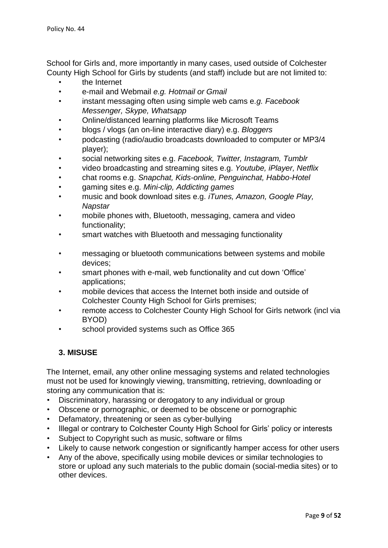School for Girls and, more importantly in many cases, used outside of Colchester County High School for Girls by students (and staff) include but are not limited to:

- the Internet
- e-mail and Webmail *e.g. Hotmail or Gmail*
- instant messaging often using simple web cams e*.g. Facebook Messenger, Skype, Whatsapp*
- Online/distanced learning platforms like Microsoft Teams
- blogs / vlogs (an on-line interactive diary) e.g. *Bloggers*
- podcasting (radio/audio broadcasts downloaded to computer or MP3/4 player);
- social networking sites e.g. *Facebook, Twitter, Instagram, Tumblr*
- video broadcasting and streaming sites e.g. *Youtube, iPlayer, Netflix*
- chat rooms e.g. *Snapchat, Kids-online, Penguinchat, Habbo-Hotel*
- gaming sites e.g. *Mini-clip, Addicting games*
- music and book download sites e.g. *iTunes, Amazon, Google Play, Napstar*
- mobile phones with, Bluetooth, messaging, camera and video functionality;
- smart watches with Bluetooth and messaging functionality
- messaging or bluetooth communications between systems and mobile devices;
- smart phones with e-mail, web functionality and cut down 'Office' applications;
- mobile devices that access the Internet both inside and outside of Colchester County High School for Girls premises;
- remote access to Colchester County High School for Girls network (incl via BYOD)
- school provided systems such as Office 365

# **3. MISUSE**

The Internet, email, any other online messaging systems and related technologies must not be used for knowingly viewing, transmitting, retrieving, downloading or storing any communication that is:

- Discriminatory, harassing or derogatory to any individual or group
- Obscene or pornographic, or deemed to be obscene or pornographic
- Defamatory, threatening or seen as cyber-bullying
- Illegal or contrary to Colchester County High School for Girls' policy or interests
- Subject to Copyright such as music, software or films
- Likely to cause network congestion or significantly hamper access for other users
- Any of the above, specifically using mobile devices or similar technologies to store or upload any such materials to the public domain (social-media sites) or to other devices.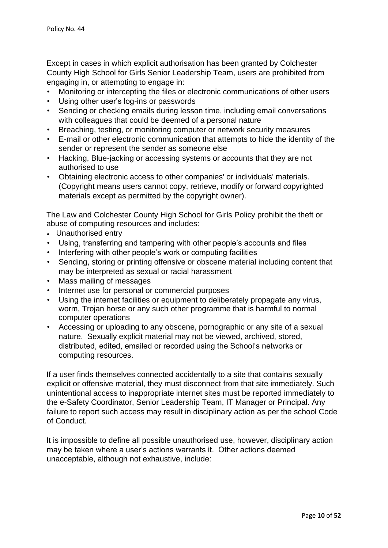Except in cases in which explicit authorisation has been granted by Colchester County High School for Girls Senior Leadership Team, users are prohibited from engaging in, or attempting to engage in:

- Monitoring or intercepting the files or electronic communications of other users
- Using other user's log-ins or passwords
- Sending or checking emails during lesson time, including email conversations with colleagues that could be deemed of a personal nature
- Breaching, testing, or monitoring computer or network security measures
- E-mail or other electronic communication that attempts to hide the identity of the sender or represent the sender as someone else
- Hacking, Blue-jacking or accessing systems or accounts that they are not authorised to use
- Obtaining electronic access to other companies' or individuals' materials. (Copyright means users cannot copy, retrieve, modify or forward copyrighted materials except as permitted by the copyright owner).

The Law and Colchester County High School for Girls Policy prohibit the theft or abuse of computing resources and includes:

- Unauthorised entry
- Using, transferring and tampering with other people's accounts and files
- Interfering with other people's work or computing facilities
- Sending, storing or printing offensive or obscene material including content that may be interpreted as sexual or racial harassment
- Mass mailing of messages
- Internet use for personal or commercial purposes
- Using the internet facilities or equipment to deliberately propagate any virus, worm, Trojan horse or any such other programme that is harmful to normal computer operations
- Accessing or uploading to any obscene, pornographic or any site of a sexual nature. Sexually explicit material may not be viewed, archived, stored, distributed, edited, emailed or recorded using the School's networks or computing resources.

If a user finds themselves connected accidentally to a site that contains sexually explicit or offensive material, they must disconnect from that site immediately. Such unintentional access to inappropriate internet sites must be reported immediately to the e-Safety Coordinator, Senior Leadership Team, IT Manager or Principal. Any failure to report such access may result in disciplinary action as per the school Code of Conduct.

It is impossible to define all possible unauthorised use, however, disciplinary action may be taken where a user's actions warrants it. Other actions deemed unacceptable, although not exhaustive, include: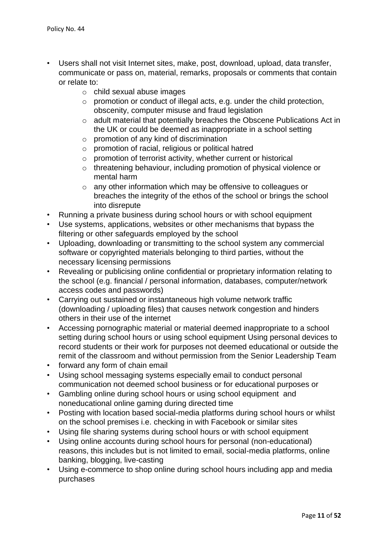- Users shall not visit Internet sites, make, post, download, upload, data transfer, communicate or pass on, material, remarks, proposals or comments that contain or relate to:
	- o child sexual abuse images
	- o promotion or conduct of illegal acts, e.g. under the child protection, obscenity, computer misuse and fraud legislation
	- o adult material that potentially breaches the Obscene Publications Act in the UK or could be deemed as inappropriate in a school setting
	- $\circ$  promotion of any kind of discrimination
	- o promotion of racial, religious or political hatred
	- o promotion of terrorist activity, whether current or historical
	- o threatening behaviour, including promotion of physical violence or mental harm
	- o any other information which may be offensive to colleagues or breaches the integrity of the ethos of the school or brings the school into disrepute
- Running a private business during school hours or with school equipment
- Use systems, applications, websites or other mechanisms that bypass the filtering or other safeguards employed by the school
- Uploading, downloading or transmitting to the school system any commercial software or copyrighted materials belonging to third parties, without the necessary licensing permissions
- Revealing or publicising online confidential or proprietary information relating to the school (e.g. financial / personal information, databases, computer/network access codes and passwords)
- Carrying out sustained or instantaneous high volume network traffic (downloading / uploading files) that causes network congestion and hinders others in their use of the internet
- Accessing pornographic material or material deemed inappropriate to a school setting during school hours or using school equipment Using personal devices to record students or their work for purposes not deemed educational or outside the remit of the classroom and without permission from the Senior Leadership Team
- forward any form of chain email
- Using school messaging systems especially email to conduct personal communication not deemed school business or for educational purposes or
- Gambling online during school hours or using school equipment and noneducational online gaming during directed time
- Posting with location based social-media platforms during school hours or whilst on the school premises i.e. checking in with Facebook or similar sites
- Using file sharing systems during school hours or with school equipment
- Using online accounts during school hours for personal (non-educational) reasons, this includes but is not limited to email, social-media platforms, online banking, blogging, live-casting
- Using e-commerce to shop online during school hours including app and media purchases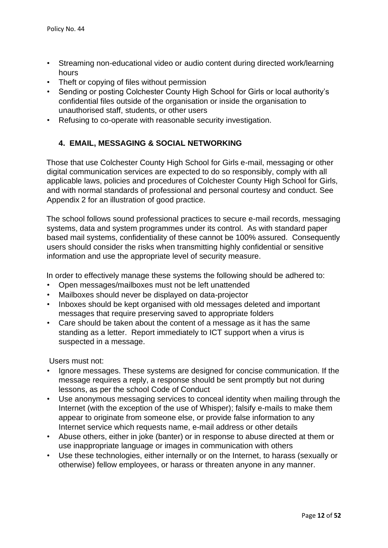- Streaming non-educational video or audio content during directed work/learning hours
- Theft or copying of files without permission
- Sending or posting Colchester County High School for Girls or local authority's confidential files outside of the organisation or inside the organisation to unauthorised staff, students, or other users
- Refusing to co-operate with reasonable security investigation.

# **4. EMAIL, MESSAGING & SOCIAL NETWORKING**

Those that use Colchester County High School for Girls e-mail, messaging or other digital communication services are expected to do so responsibly, comply with all applicable laws, policies and procedures of Colchester County High School for Girls, and with normal standards of professional and personal courtesy and conduct. See Appendix 2 for an illustration of good practice.

The school follows sound professional practices to secure e-mail records, messaging systems, data and system programmes under its control. As with standard paper based mail systems, confidentiality of these cannot be 100% assured. Consequently users should consider the risks when transmitting highly confidential or sensitive information and use the appropriate level of security measure.

In order to effectively manage these systems the following should be adhered to:

- Open messages/mailboxes must not be left unattended
- Mailboxes should never be displayed on data-projector
- Inboxes should be kept organised with old messages deleted and important messages that require preserving saved to appropriate folders
- Care should be taken about the content of a message as it has the same standing as a letter. Report immediately to ICT support when a virus is suspected in a message.

Users must not:

- Ignore messages. These systems are designed for concise communication. If the message requires a reply, a response should be sent promptly but not during lessons, as per the school Code of Conduct
- Use anonymous messaging services to conceal identity when mailing through the Internet (with the exception of the use of Whisper); falsify e-mails to make them appear to originate from someone else, or provide false information to any Internet service which requests name, e-mail address or other details
- Abuse others, either in joke (banter) or in response to abuse directed at them or use inappropriate language or images in communication with others
- Use these technologies, either internally or on the Internet, to harass (sexually or otherwise) fellow employees, or harass or threaten anyone in any manner.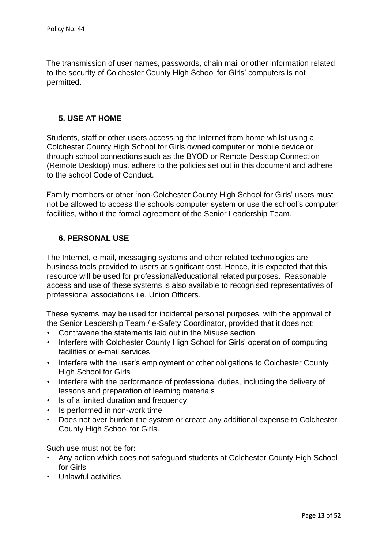The transmission of user names, passwords, chain mail or other information related to the security of Colchester County High School for Girls' computers is not permitted.

# **5. USE AT HOME**

Students, staff or other users accessing the Internet from home whilst using a Colchester County High School for Girls owned computer or mobile device or through school connections such as the BYOD or Remote Desktop Connection (Remote Desktop) must adhere to the policies set out in this document and adhere to the school Code of Conduct.

Family members or other 'non-Colchester County High School for Girls' users must not be allowed to access the schools computer system or use the school's computer facilities, without the formal agreement of the Senior Leadership Team.

# **6. PERSONAL USE**

The Internet, e-mail, messaging systems and other related technologies are business tools provided to users at significant cost. Hence, it is expected that this resource will be used for professional/educational related purposes. Reasonable access and use of these systems is also available to recognised representatives of professional associations i.e. Union Officers.

These systems may be used for incidental personal purposes, with the approval of the Senior Leadership Team / e-Safety Coordinator, provided that it does not:

- Contravene the statements laid out in the Misuse section
- Interfere with Colchester County High School for Girls' operation of computing facilities or e-mail services
- Interfere with the user's employment or other obligations to Colchester County High School for Girls
- Interfere with the performance of professional duties, including the delivery of lessons and preparation of learning materials
- Is of a limited duration and frequency
- Is performed in non-work time
- Does not over burden the system or create any additional expense to Colchester County High School for Girls.

Such use must not be for:

- Any action which does not safeguard students at Colchester County High School for Girls
- Unlawful activities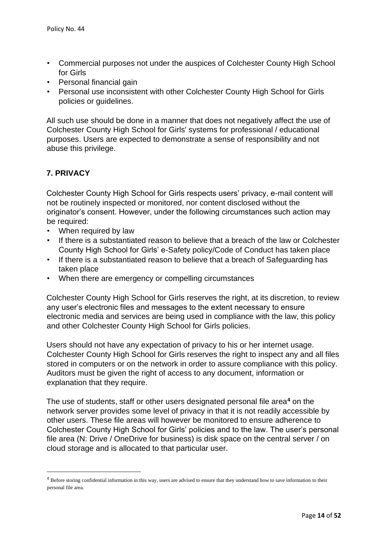- Commercial purposes not under the auspices of Colchester County High School for Girls
- Personal financial gain
- Personal use inconsistent with other Colchester County High School for Girls policies or guidelines.

All such use should be done in a manner that does not negatively affect the use of Colchester County High School for Girls' systems for professional / educational purposes. Users are expected to demonstrate a sense of responsibility and not abuse this privilege.

### **7. PRIVACY**

Colchester County High School for Girls respects users' privacy, e-mail content will not be routinely inspected or monitored, nor content disclosed without the originator's consent. However, under the following circumstances such action may be required:

- When required by law
- If there is a substantiated reason to believe that a breach of the law or Colchester County High School for Girls' e-Safety policy/Code of Conduct has taken place
- If there is a substantiated reason to believe that a breach of Safeguarding has taken place
- When there are emergency or compelling circumstances

Colchester County High School for Girls reserves the right, at its discretion, to review any user's electronic files and messages to the extent necessary to ensure electronic media and services are being used in compliance with the law, this policy and other Colchester County High School for Girls policies.

Users should not have any expectation of privacy to his or her internet usage. Colchester County High School for Girls reserves the right to inspect any and all files stored in computers or on the network in order to assure compliance with this policy. Auditors must be given the right of access to any document, information or explanation that they require.

The use of students, staff or other users designated personal file area**<sup>4</sup>** on the network server provides some level of privacy in that it is not readily accessible by other users. These file areas will however be monitored to ensure adherence to Colchester County High School for Girls' policies and to the law. The user's personal file area (N: Drive / OneDrive for business) is disk space on the central server / on cloud storage and is allocated to that particular user.

<sup>&</sup>lt;sup>4</sup> Before storing confidential information in this way, users are advised to ensure that they understand how to save information to their personal file area.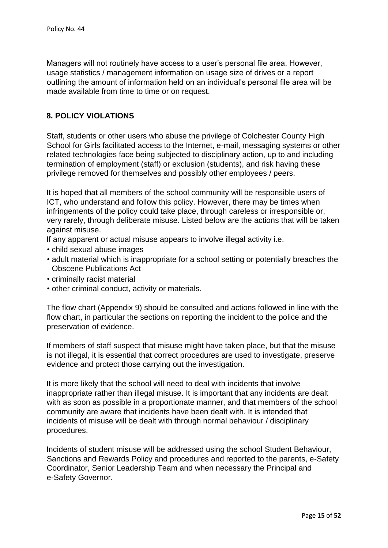Managers will not routinely have access to a user's personal file area. However, usage statistics / management information on usage size of drives or a report outlining the amount of information held on an individual's personal file area will be made available from time to time or on request.

### **8. POLICY VIOLATIONS**

Staff, students or other users who abuse the privilege of Colchester County High School for Girls facilitated access to the Internet, e-mail, messaging systems or other related technologies face being subjected to disciplinary action, up to and including termination of employment (staff) or exclusion (students), and risk having these privilege removed for themselves and possibly other employees / peers.

It is hoped that all members of the school community will be responsible users of ICT, who understand and follow this policy. However, there may be times when infringements of the policy could take place, through careless or irresponsible or, very rarely, through deliberate misuse. Listed below are the actions that will be taken against misuse.

- If any apparent or actual misuse appears to involve illegal activity i.e.
- child sexual abuse images
- adult material which is inappropriate for a school setting or potentially breaches the Obscene Publications Act
- criminally racist material
- other criminal conduct, activity or materials.

The flow chart (Appendix 9) should be consulted and actions followed in line with the flow chart, in particular the sections on reporting the incident to the police and the preservation of evidence.

If members of staff suspect that misuse might have taken place, but that the misuse is not illegal, it is essential that correct procedures are used to investigate, preserve evidence and protect those carrying out the investigation.

It is more likely that the school will need to deal with incidents that involve inappropriate rather than illegal misuse. It is important that any incidents are dealt with as soon as possible in a proportionate manner, and that members of the school community are aware that incidents have been dealt with. It is intended that incidents of misuse will be dealt with through normal behaviour / disciplinary procedures.

Incidents of student misuse will be addressed using the school Student Behaviour, Sanctions and Rewards Policy and procedures and reported to the parents, e-Safety Coordinator, Senior Leadership Team and when necessary the Principal and e-Safety Governor.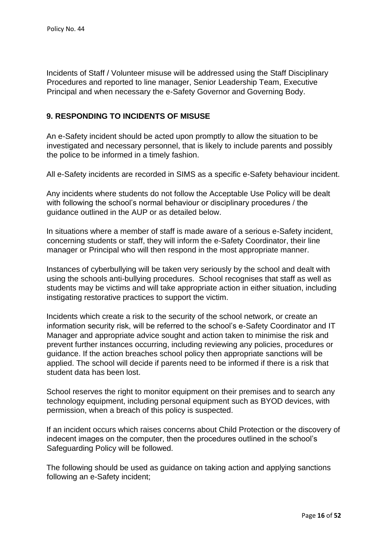Incidents of Staff / Volunteer misuse will be addressed using the Staff Disciplinary Procedures and reported to line manager, Senior Leadership Team, Executive Principal and when necessary the e-Safety Governor and Governing Body.

### **9. RESPONDING TO INCIDENTS OF MISUSE**

An e-Safety incident should be acted upon promptly to allow the situation to be investigated and necessary personnel, that is likely to include parents and possibly the police to be informed in a timely fashion.

All e-Safety incidents are recorded in SIMS as a specific e-Safety behaviour incident.

Any incidents where students do not follow the Acceptable Use Policy will be dealt with following the school's normal behaviour or disciplinary procedures / the guidance outlined in the AUP or as detailed below.

In situations where a member of staff is made aware of a serious e-Safety incident, concerning students or staff, they will inform the e-Safety Coordinator, their line manager or Principal who will then respond in the most appropriate manner.

Instances of cyberbullying will be taken very seriously by the school and dealt with using the schools anti-bullying procedures. School recognises that staff as well as students may be victims and will take appropriate action in either situation, including instigating restorative practices to support the victim.

Incidents which create a risk to the security of the school network, or create an information security risk, will be referred to the school's e-Safety Coordinator and IT Manager and appropriate advice sought and action taken to minimise the risk and prevent further instances occurring, including reviewing any policies, procedures or guidance. If the action breaches school policy then appropriate sanctions will be applied. The school will decide if parents need to be informed if there is a risk that student data has been lost.

School reserves the right to monitor equipment on their premises and to search any technology equipment, including personal equipment such as BYOD devices, with permission, when a breach of this policy is suspected.

If an incident occurs which raises concerns about Child Protection or the discovery of indecent images on the computer, then the procedures outlined in the school's Safeguarding Policy will be followed.

The following should be used as guidance on taking action and applying sanctions following an e-Safety incident;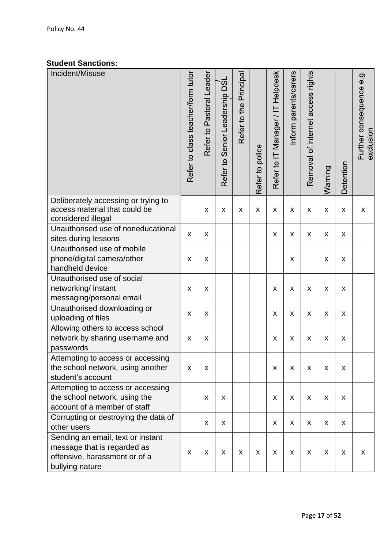# **Student Sanctions:**

| Incident/Misuse                                                                                                      | Refer to class teacher/form tutor | Refer to Pastoral Leader | Refer to Senior Leadership DSL | Refer to the Principal | Refer to police | Refer to IT Manager / IT Helpdesk | Inform parents/carers     | Removal of internet access rights | Warning            | Detention                 | Further consequence e.g.<br>exclusion |
|----------------------------------------------------------------------------------------------------------------------|-----------------------------------|--------------------------|--------------------------------|------------------------|-----------------|-----------------------------------|---------------------------|-----------------------------------|--------------------|---------------------------|---------------------------------------|
| Deliberately accessing or trying to<br>access material that could be<br>considered illegal                           |                                   | $\pmb{\mathsf{X}}$       | $\pmb{\mathsf{X}}$             | $\pmb{\times}$         | $\pmb{\times}$  | X                                 | X                         | X                                 | X                  | $\pmb{\mathsf{X}}$        | $\pmb{\mathsf{X}}$                    |
| Unauthorised use of noneducational<br>sites during lessons                                                           | $\mathsf{x}$                      | $\pmb{\mathsf{X}}$       |                                |                        |                 | X                                 | $\boldsymbol{\mathsf{X}}$ | X                                 | X                  | X                         |                                       |
| Unauthorised use of mobile<br>phone/digital camera/other<br>handheld device                                          | $\pmb{\mathsf{X}}$                | $\pmb{\times}$           |                                |                        |                 |                                   | $\pmb{\mathsf{X}}$        |                                   | $\pmb{\mathsf{X}}$ | X                         |                                       |
| Unauthorised use of social<br>networking/ instant<br>messaging/personal email                                        | $\pmb{\mathsf{X}}$                | $\pmb{\times}$           |                                |                        |                 | X                                 | $\boldsymbol{\mathsf{X}}$ | $\mathsf{x}$                      | X                  | X                         |                                       |
| Unauthorised downloading or<br>uploading of files                                                                    | $\pmb{\mathsf{X}}$                | $\pmb{\times}$           |                                |                        |                 | X                                 | $\boldsymbol{\mathsf{X}}$ | $\pmb{\mathsf{X}}$                | $\pmb{\times}$     | $\boldsymbol{\mathsf{X}}$ |                                       |
| Allowing others to access school<br>network by sharing username and<br>passwords                                     | $\pmb{\mathsf{X}}$                | $\pmb{\mathsf{X}}$       |                                |                        |                 | $\pmb{\mathsf{X}}$                | $\pmb{\mathsf{X}}$        | X                                 | X                  | X                         |                                       |
| Attempting to access or accessing<br>the school network, using another<br>student's account                          | X                                 | X                        |                                |                        |                 | X                                 | X                         | X                                 | X                  | X                         |                                       |
| Attempting to access or accessing<br>the school network, using the<br>account of a member of staff                   |                                   | $\pmb{\mathsf{X}}$       | X                              |                        |                 | X                                 | X                         | X                                 | X                  | X                         |                                       |
| Corrupting or destroying the data of<br>other users                                                                  |                                   | $\pmb{\mathsf{X}}$       | X                              |                        |                 | X                                 | X                         | X                                 | X                  | X                         |                                       |
| Sending an email, text or instant<br>message that is regarded as<br>offensive, harassment or of a<br>bullying nature | $\pmb{\mathsf{X}}$                | $\pmb{\mathsf{X}}$       | $\pmb{\mathsf{X}}$             | X                      | X               | X                                 | X                         | X                                 | X                  | X                         | X                                     |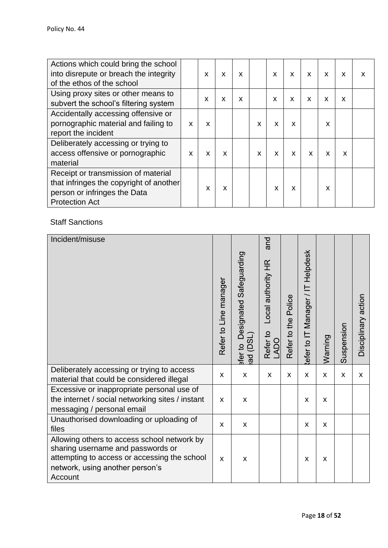| Actions which could bring the school<br>into disrepute or breach the integrity<br>of the ethos of the school                            |   | X | X | X |   | X            | X | X | X | X | X |
|-----------------------------------------------------------------------------------------------------------------------------------------|---|---|---|---|---|--------------|---|---|---|---|---|
| Using proxy sites or other means to<br>subvert the school's filtering system                                                            |   | X | X | X |   | $\mathsf{x}$ | X | X | X | X |   |
| Accidentally accessing offensive or<br>pornographic material and failing to<br>report the incident                                      | X | X |   |   | X | X            | X |   | X |   |   |
| Deliberately accessing or trying to<br>access offensive or pornographic<br>material                                                     | X | X | X |   | X | X            | X | X | X | X |   |
| Receipt or transmission of material<br>that infringes the copyright of another<br>person or infringes the Data<br><b>Protection Act</b> |   | X | X |   |   | X            | X |   | X |   |   |

Staff Sanctions

| Incident/misuse                                                                                                                                                                | Refer to Line manager | Designated Safeguarding<br>(DSL)<br>$\frac{1}{2}$<br>ad<br>ater | pue<br>Local authority HR<br>Refer to<br><b>LADO</b> | Refer to the Police | efer to IT Manager / IT Helpdesk | Warning | Suspension | Disciplinary action |
|--------------------------------------------------------------------------------------------------------------------------------------------------------------------------------|-----------------------|-----------------------------------------------------------------|------------------------------------------------------|---------------------|----------------------------------|---------|------------|---------------------|
| Deliberately accessing or trying to access<br>material that could be considered illegal                                                                                        | X                     | X                                                               | X                                                    | X                   | X                                | X       | X          | X                   |
| Excessive or inappropriate personal use of<br>the internet / social networking sites / instant<br>messaging / personal email                                                   | X                     | X                                                               |                                                      |                     | X                                | X       |            |                     |
| Unauthorised downloading or uploading of<br>files                                                                                                                              | X                     | X                                                               |                                                      |                     | X                                | X       |            |                     |
| Allowing others to access school network by<br>sharing username and passwords or<br>attempting to access or accessing the school<br>network, using another person's<br>Account | X                     | X                                                               |                                                      |                     | X                                | X       |            |                     |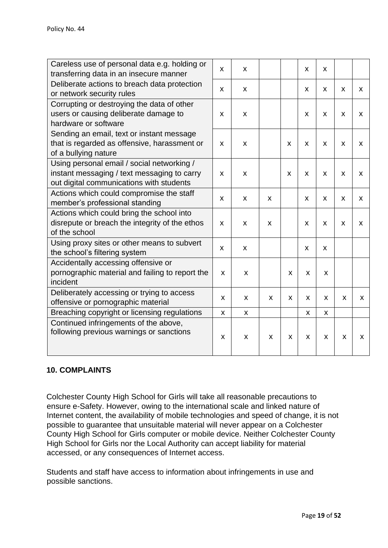| Careless use of personal data e.g. holding or<br>transferring data in an insecure manner                                              | X | X            |              |   | X                         | X            |                           |                           |
|---------------------------------------------------------------------------------------------------------------------------------------|---|--------------|--------------|---|---------------------------|--------------|---------------------------|---------------------------|
| Deliberate actions to breach data protection<br>or network security rules                                                             | X | $\mathsf{x}$ |              |   | X                         | X            | $\boldsymbol{\mathsf{x}}$ | X                         |
| Corrupting or destroying the data of other<br>users or causing deliberate damage to<br>hardware or software                           | X | X            |              |   | X                         | X            | X                         | X                         |
| Sending an email, text or instant message<br>that is regarded as offensive, harassment or<br>of a bullying nature                     | X | X            |              | X | X                         | X            | X                         | X                         |
| Using personal email / social networking /<br>instant messaging / text messaging to carry<br>out digital communications with students | X | $\mathsf{x}$ |              | X | X                         | X            | $\pmb{\mathsf{X}}$        | $\boldsymbol{\mathsf{X}}$ |
| Actions which could compromise the staff<br>member's professional standing                                                            | X | X            | X            |   | X                         | X            | X                         | X                         |
| Actions which could bring the school into<br>disrepute or breach the integrity of the ethos<br>of the school                          | X | $\mathsf{x}$ | $\mathsf{x}$ |   | $\boldsymbol{\mathsf{x}}$ | $\mathsf{x}$ | $\boldsymbol{\mathsf{x}}$ | $\boldsymbol{\mathsf{X}}$ |
| Using proxy sites or other means to subvert<br>the school's filtering system                                                          | X | X            |              |   | X                         | X            |                           |                           |
| Accidentally accessing offensive or<br>pornographic material and failing to report the<br>incident                                    | X | X            |              | X | X                         | X            |                           |                           |
| Deliberately accessing or trying to access<br>offensive or pornographic material                                                      | X | X            | X            | X | X                         | X            | X                         | X.                        |
| Breaching copyright or licensing regulations                                                                                          | X | X            |              |   | X                         | X            |                           |                           |
| Continued infringements of the above,<br>following previous warnings or sanctions                                                     | X | X            | X            | X | $\boldsymbol{\mathsf{X}}$ | X            | X                         | X                         |

### **10. COMPLAINTS**

Colchester County High School for Girls will take all reasonable precautions to ensure e-Safety. However, owing to the international scale and linked nature of Internet content, the availability of mobile technologies and speed of change, it is not possible to guarantee that unsuitable material will never appear on a Colchester County High School for Girls computer or mobile device. Neither Colchester County High School for Girls nor the Local Authority can accept liability for material accessed, or any consequences of Internet access.

Students and staff have access to information about infringements in use and possible sanctions.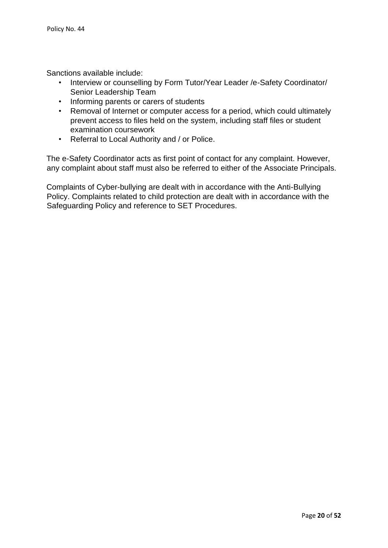Sanctions available include:

- Interview or counselling by Form Tutor/Year Leader /e-Safety Coordinator/ Senior Leadership Team
- Informing parents or carers of students
- Removal of Internet or computer access for a period, which could ultimately prevent access to files held on the system, including staff files or student examination coursework
- Referral to Local Authority and / or Police.

The e-Safety Coordinator acts as first point of contact for any complaint. However, any complaint about staff must also be referred to either of the Associate Principals.

Complaints of Cyber-bullying are dealt with in accordance with the Anti-Bullying Policy. Complaints related to child protection are dealt with in accordance with the Safeguarding Policy and reference to SET Procedures.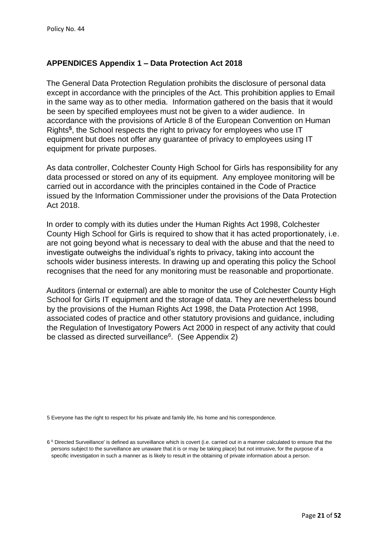### **APPENDICES Appendix 1 – Data Protection Act 2018**

The General Data Protection Regulation prohibits the disclosure of personal data except in accordance with the principles of the Act. This prohibition applies to Email in the same way as to other media. Information gathered on the basis that it would be seen by specified employees must not be given to a wider audience. In accordance with the provisions of Article 8 of the European Convention on Human Rights**<sup>5</sup>** , the School respects the right to privacy for employees who use IT equipment but does not offer any guarantee of privacy to employees using IT equipment for private purposes.

As data controller, Colchester County High School for Girls has responsibility for any data processed or stored on any of its equipment. Any employee monitoring will be carried out in accordance with the principles contained in the Code of Practice issued by the Information Commissioner under the provisions of the Data Protection Act 2018.

In order to comply with its duties under the Human Rights Act 1998, Colchester County High School for Girls is required to show that it has acted proportionately, i.e. are not going beyond what is necessary to deal with the abuse and that the need to investigate outweighs the individual's rights to privacy, taking into account the schools wider business interests. In drawing up and operating this policy the School recognises that the need for any monitoring must be reasonable and proportionate.

Auditors (internal or external) are able to monitor the use of Colchester County High School for Girls IT equipment and the storage of data. They are nevertheless bound by the provisions of the Human Rights Act 1998, the Data Protection Act 1998, associated codes of practice and other statutory provisions and guidance, including the Regulation of Investigatory Powers Act 2000 in respect of any activity that could be classed as directed surveillance<sup>6</sup>. (See Appendix 2)

5 Everyone has the right to respect for his private and family life, his home and his correspondence.

<sup>6&</sup>lt;sup>6</sup> Directed Surveillance' is defined as surveillance which is covert (i.e. carried out in a manner calculated to ensure that the persons subject to the surveillance are unaware that it is or may be taking place) but not intrusive, for the purpose of a specific investigation in such a manner as is likely to result in the obtaining of private information about a person.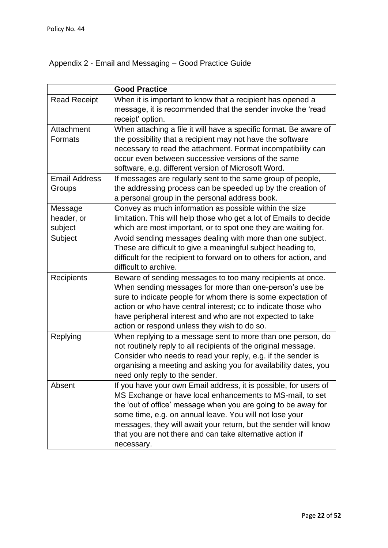# Appendix 2 - Email and Messaging – Good Practice Guide

|                                  | <b>Good Practice</b>                                                                                                                                                                                                                                                                                                                                                                                    |
|----------------------------------|---------------------------------------------------------------------------------------------------------------------------------------------------------------------------------------------------------------------------------------------------------------------------------------------------------------------------------------------------------------------------------------------------------|
| <b>Read Receipt</b>              | When it is important to know that a recipient has opened a<br>message, it is recommended that the sender invoke the 'read<br>receipt' option.                                                                                                                                                                                                                                                           |
| Attachment<br>Formats            | When attaching a file it will have a specific format. Be aware of<br>the possibility that a recipient may not have the software<br>necessary to read the attachment. Format incompatibility can<br>occur even between successive versions of the same<br>software, e.g. different version of Microsoft Word.                                                                                            |
| <b>Email Address</b><br>Groups   | If messages are regularly sent to the same group of people,<br>the addressing process can be speeded up by the creation of<br>a personal group in the personal address book.                                                                                                                                                                                                                            |
| Message<br>header, or<br>subject | Convey as much information as possible within the size<br>limitation. This will help those who get a lot of Emails to decide<br>which are most important, or to spot one they are waiting for.                                                                                                                                                                                                          |
| Subject                          | Avoid sending messages dealing with more than one subject.<br>These are difficult to give a meaningful subject heading to,<br>difficult for the recipient to forward on to others for action, and<br>difficult to archive.                                                                                                                                                                              |
| Recipients                       | Beware of sending messages to too many recipients at once.<br>When sending messages for more than one-person's use be<br>sure to indicate people for whom there is some expectation of<br>action or who have central interest; cc to indicate those who<br>have peripheral interest and who are not expected to take<br>action or respond unless they wish to do so.                                    |
| Replying                         | When replying to a message sent to more than one person, do<br>not routinely reply to all recipients of the original message.<br>Consider who needs to read your reply, e.g. if the sender is<br>organising a meeting and asking you for availability dates, you<br>need only reply to the sender.                                                                                                      |
| Absent                           | If you have your own Email address, it is possible, for users of<br>MS Exchange or have local enhancements to MS-mail, to set<br>the 'out of office' message when you are going to be away for<br>some time, e.g. on annual leave. You will not lose your<br>messages, they will await your return, but the sender will know<br>that you are not there and can take alternative action if<br>necessary. |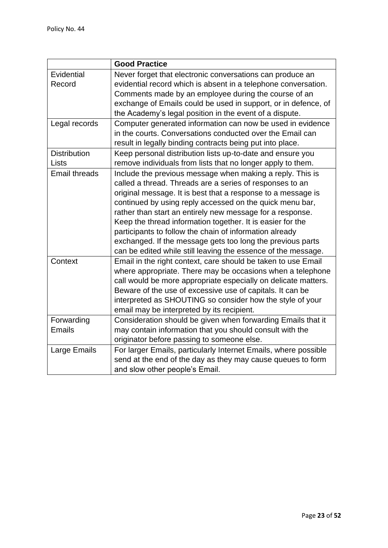|                      | <b>Good Practice</b>                                            |
|----------------------|-----------------------------------------------------------------|
| Evidential           | Never forget that electronic conversations can produce an       |
| Record               | evidential record which is absent in a telephone conversation.  |
|                      | Comments made by an employee during the course of an            |
|                      | exchange of Emails could be used in support, or in defence, of  |
|                      | the Academy's legal position in the event of a dispute.         |
| Legal records        | Computer generated information can now be used in evidence      |
|                      | in the courts. Conversations conducted over the Email can       |
|                      | result in legally binding contracts being put into place.       |
| <b>Distribution</b>  | Keep personal distribution lists up-to-date and ensure you      |
| Lists                | remove individuals from lists that no longer apply to them.     |
| <b>Email threads</b> | Include the previous message when making a reply. This is       |
|                      | called a thread. Threads are a series of responses to an        |
|                      | original message. It is best that a response to a message is    |
|                      | continued by using reply accessed on the quick menu bar,        |
|                      | rather than start an entirely new message for a response.       |
|                      | Keep the thread information together. It is easier for the      |
|                      | participants to follow the chain of information already         |
|                      | exchanged. If the message gets too long the previous parts      |
|                      | can be edited while still leaving the essence of the message.   |
| Context              | Email in the right context, care should be taken to use Email   |
|                      | where appropriate. There may be occasions when a telephone      |
|                      | call would be more appropriate especially on delicate matters.  |
|                      | Beware of the use of excessive use of capitals. It can be       |
|                      | interpreted as SHOUTING so consider how the style of your       |
|                      | email may be interpreted by its recipient.                      |
| Forwarding           | Consideration should be given when forwarding Emails that it    |
| <b>Emails</b>        | may contain information that you should consult with the        |
|                      | originator before passing to someone else.                      |
| Large Emails         | For larger Emails, particularly Internet Emails, where possible |
|                      | send at the end of the day as they may cause queues to form     |
|                      | and slow other people's Email.                                  |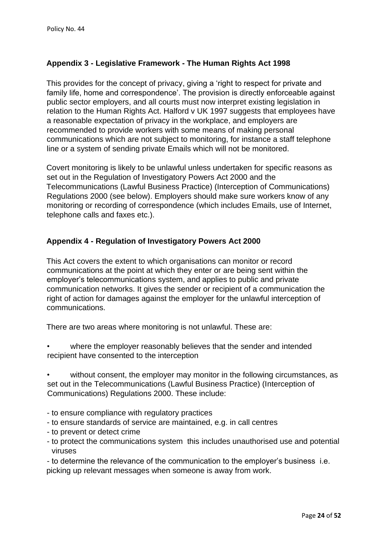# **Appendix 3 - Legislative Framework - The Human Rights Act 1998**

This provides for the concept of privacy, giving a 'right to respect for private and family life, home and correspondence'. The provision is directly enforceable against public sector employers, and all courts must now interpret existing legislation in relation to the Human Rights Act. Halford v UK 1997 suggests that employees have a reasonable expectation of privacy in the workplace, and employers are recommended to provide workers with some means of making personal communications which are not subject to monitoring, for instance a staff telephone line or a system of sending private Emails which will not be monitored.

Covert monitoring is likely to be unlawful unless undertaken for specific reasons as set out in the Regulation of Investigatory Powers Act 2000 and the Telecommunications (Lawful Business Practice) (Interception of Communications) Regulations 2000 (see below). Employers should make sure workers know of any monitoring or recording of correspondence (which includes Emails, use of Internet, telephone calls and faxes etc.).

### **Appendix 4 - Regulation of Investigatory Powers Act 2000**

This Act covers the extent to which organisations can monitor or record communications at the point at which they enter or are being sent within the employer's telecommunications system, and applies to public and private communication networks. It gives the sender or recipient of a communication the right of action for damages against the employer for the unlawful interception of communications.

There are two areas where monitoring is not unlawful. These are:

where the employer reasonably believes that the sender and intended recipient have consented to the interception

without consent, the employer may monitor in the following circumstances, as set out in the Telecommunications (Lawful Business Practice) (Interception of Communications) Regulations 2000. These include:

- to ensure compliance with regulatory practices
- to ensure standards of service are maintained, e.g. in call centres
- to prevent or detect crime
- to protect the communications system this includes unauthorised use and potential viruses

- to determine the relevance of the communication to the employer's business i.e. picking up relevant messages when someone is away from work.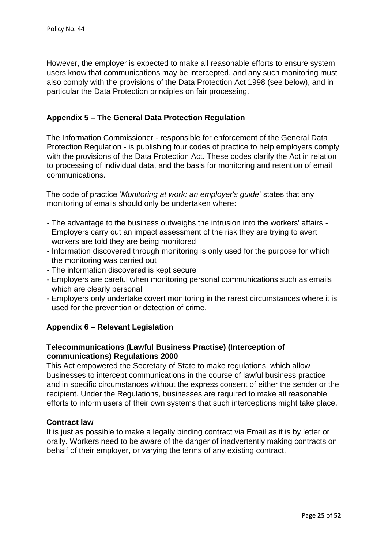However, the employer is expected to make all reasonable efforts to ensure system users know that communications may be intercepted, and any such monitoring must also comply with the provisions of the Data Protection Act 1998 (see below), and in particular the Data Protection principles on fair processing.

### **Appendix 5 – The General Data Protection Regulation**

The Information Commissioner - responsible for enforcement of the General Data Protection Regulation - is publishing four codes of practice to help employers comply with the provisions of the Data Protection Act. These codes clarify the Act in relation to processing of individual data, and the basis for monitoring and retention of email communications.

The code of practice '*Monitoring at work: an employer's guide*' states that any monitoring of emails should only be undertaken where:

- The advantage to the business outweighs the intrusion into the workers' affairs Employers carry out an impact assessment of the risk they are trying to avert workers are told they are being monitored
- Information discovered through monitoring is only used for the purpose for which the monitoring was carried out
- The information discovered is kept secure
- Employers are careful when monitoring personal communications such as emails which are clearly personal
- Employers only undertake covert monitoring in the rarest circumstances where it is used for the prevention or detection of crime.

### **Appendix 6 – Relevant Legislation**

### **Telecommunications (Lawful Business Practise) (Interception of communications) Regulations 2000**

This Act empowered the Secretary of State to make regulations, which allow businesses to intercept communications in the course of lawful business practice and in specific circumstances without the express consent of either the sender or the recipient. Under the Regulations, businesses are required to make all reasonable efforts to inform users of their own systems that such interceptions might take place.

### **Contract law**

It is just as possible to make a legally binding contract via Email as it is by letter or orally. Workers need to be aware of the danger of inadvertently making contracts on behalf of their employer, or varying the terms of any existing contract.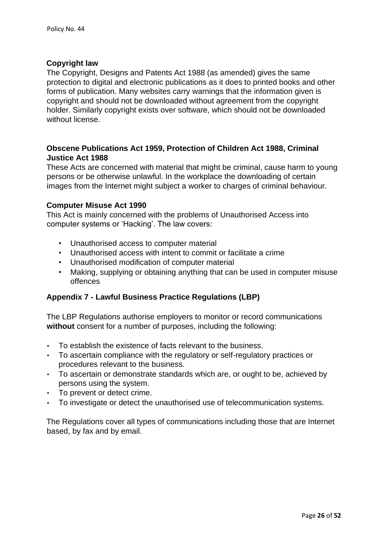### **Copyright law**

The Copyright, Designs and Patents Act 1988 (as amended) gives the same protection to digital and electronic publications as it does to printed books and other forms of publication. Many websites carry warnings that the information given is copyright and should not be downloaded without agreement from the copyright holder. Similarly copyright exists over software, which should not be downloaded without license.

### **Obscene Publications Act 1959, Protection of Children Act 1988, Criminal Justice Act 1988**

These Acts are concerned with material that might be criminal, cause harm to young persons or be otherwise unlawful. In the workplace the downloading of certain images from the Internet might subject a worker to charges of criminal behaviour.

#### **Computer Misuse Act 1990**

This Act is mainly concerned with the problems of Unauthorised Access into computer systems or 'Hacking'. The law covers:

- Unauthorised access to computer material
- Unauthorised access with intent to commit or facilitate a crime
- Unauthorised modification of computer material
- Making, supplying or obtaining anything that can be used in computer misuse offences

### **Appendix 7 - Lawful Business Practice Regulations (LBP)**

The LBP Regulations authorise employers to monitor or record communications **without** consent for a number of purposes, including the following:

- To establish the existence of facts relevant to the business.
- To ascertain compliance with the regulatory or self-regulatory practices or procedures relevant to the business.
- To ascertain or demonstrate standards which are, or ought to be, achieved by persons using the system.
- To prevent or detect crime.
- To investigate or detect the unauthorised use of telecommunication systems.

The Regulations cover all types of communications including those that are Internet based, by fax and by email.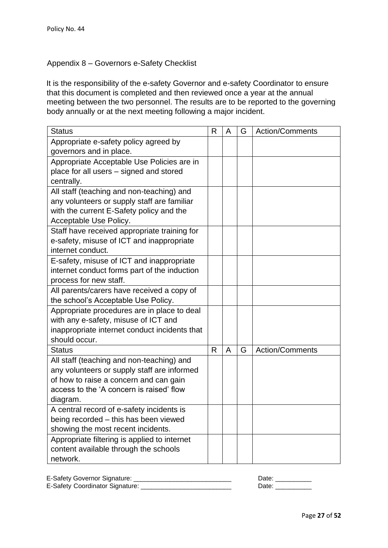### Appendix 8 – Governors e-Safety Checklist

It is the responsibility of the e-safety Governor and e-safety Coordinator to ensure that this document is completed and then reviewed once a year at the annual meeting between the two personnel. The results are to be reported to the governing body annually or at the next meeting following a major incident.

| <b>Status</b>                                                                                                                                                                              | R            | A | G | Action/Comments |
|--------------------------------------------------------------------------------------------------------------------------------------------------------------------------------------------|--------------|---|---|-----------------|
| Appropriate e-safety policy agreed by<br>governors and in place.                                                                                                                           |              |   |   |                 |
| Appropriate Acceptable Use Policies are in<br>place for all users - signed and stored<br>centrally.                                                                                        |              |   |   |                 |
| All staff (teaching and non-teaching) and<br>any volunteers or supply staff are familiar<br>with the current E-Safety policy and the<br>Acceptable Use Policy.                             |              |   |   |                 |
| Staff have received appropriate training for<br>e-safety, misuse of ICT and inappropriate<br>internet conduct.                                                                             |              |   |   |                 |
| E-safety, misuse of ICT and inappropriate<br>internet conduct forms part of the induction<br>process for new staff.                                                                        |              |   |   |                 |
| All parents/carers have received a copy of<br>the school's Acceptable Use Policy.                                                                                                          |              |   |   |                 |
| Appropriate procedures are in place to deal<br>with any e-safety, misuse of ICT and<br>inappropriate internet conduct incidents that<br>should occur.                                      |              |   |   |                 |
| <b>Status</b>                                                                                                                                                                              | $\mathsf{R}$ | A | G | Action/Comments |
| All staff (teaching and non-teaching) and<br>any volunteers or supply staff are informed<br>of how to raise a concern and can gain<br>access to the 'A concern is raised' flow<br>diagram. |              |   |   |                 |
| A central record of e-safety incidents is<br>being recorded - this has been viewed<br>showing the most recent incidents.                                                                   |              |   |   |                 |
| Appropriate filtering is applied to internet<br>content available through the schools<br>network.                                                                                          |              |   |   |                 |

| E-Safety Governor Signature:    | Date |
|---------------------------------|------|
| E-Safety Coordinator Signature: | Date |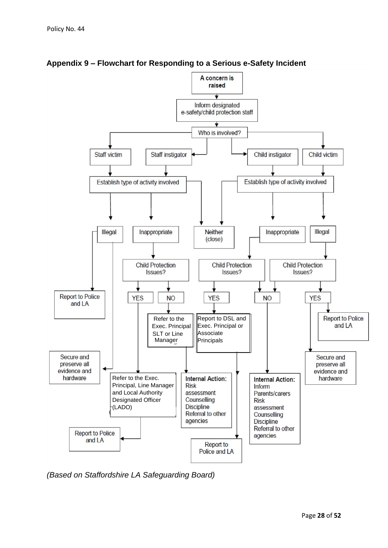

**Appendix 9 – Flowchart for Responding to a Serious e-Safety Incident** 

*(Based on Staffordshire LA Safeguarding Board)*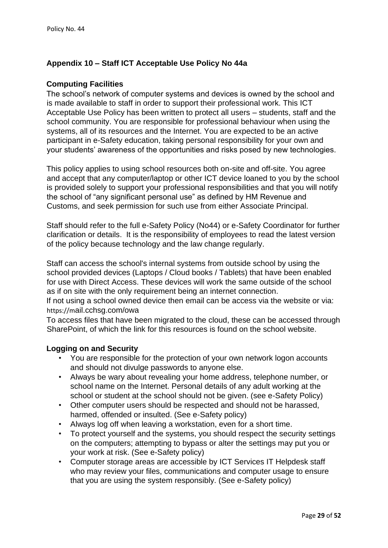### **Appendix 10 – Staff ICT Acceptable Use Policy No 44a**

### **Computing Facilities**

The school's network of computer systems and devices is owned by the school and is made available to staff in order to support their professional work. This ICT Acceptable Use Policy has been written to protect all users – students, staff and the school community. You are responsible for professional behaviour when using the systems, all of its resources and the Internet. You are expected to be an active participant in e-Safety education, taking personal responsibility for your own and your students' awareness of the opportunities and risks posed by new technologies.

This policy applies to using school resources both on-site and off-site. You agree and accept that any computer/laptop or other ICT device loaned to you by the school is provided solely to support your professional responsibilities and that you will notify the school of "any significant personal use" as defined by HM Revenue and Customs, and seek permission for such use from either Associate Principal.

Staff should refer to the full e-Safety Policy (No44) or e-Safety Coordinator for further clarification or details. It is the responsibility of employees to read the latest version of the policy because technology and the law change regularly.

Staff can access the school's internal systems from outside school by using the school provided devices (Laptops / Cloud books / Tablets) that have been enabled for use with Direct Access. These devices will work the same outside of the school as if on site with the only requirement being an internet connection.

If not using a school owned device then email can be access via the website or via: https://mail.cchsg.com/owa

To access files that have been migrated to the cloud, these can be accessed through SharePoint, of which the link for this resources is found on the school website.

### **Logging on and Security**

- You are responsible for the protection of your own network logon accounts and should not divulge passwords to anyone else.
- Always be wary about revealing your home address, telephone number, or school name on the Internet. Personal details of any adult working at the school or student at the school should not be given. (see e-Safety Policy)
- Other computer users should be respected and should not be harassed, harmed, offended or insulted. (See e-Safety policy)
- Always log off when leaving a workstation, even for a short time.
- To protect yourself and the systems, you should respect the security settings on the computers; attempting to bypass or alter the settings may put you or your work at risk. (See e-Safety policy)
- Computer storage areas are accessible by ICT Services IT Helpdesk staff who may review your files, communications and computer usage to ensure that you are using the system responsibly. (See e-Safety policy)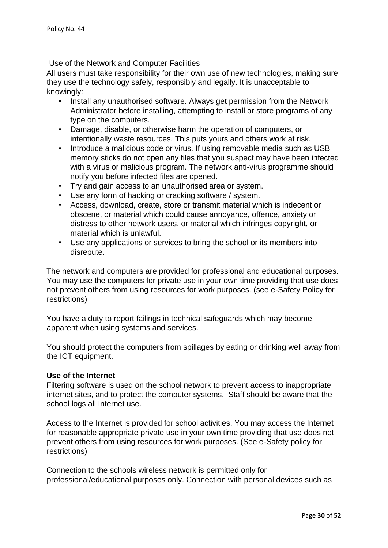Use of the Network and Computer Facilities

All users must take responsibility for their own use of new technologies, making sure they use the technology safely, responsibly and legally. It is unacceptable to knowingly:

- Install any unauthorised software. Always get permission from the Network Administrator before installing, attempting to install or store programs of any type on the computers.
- Damage, disable, or otherwise harm the operation of computers, or intentionally waste resources. This puts yours and others work at risk.
- Introduce a malicious code or virus. If using removable media such as USB memory sticks do not open any files that you suspect may have been infected with a virus or malicious program. The network anti-virus programme should notify you before infected files are opened.
- Try and gain access to an unauthorised area or system.
- Use any form of hacking or cracking software / system.
- Access, download, create, store or transmit material which is indecent or obscene, or material which could cause annoyance, offence, anxiety or distress to other network users, or material which infringes copyright, or material which is unlawful.
- Use any applications or services to bring the school or its members into disrepute.

The network and computers are provided for professional and educational purposes. You may use the computers for private use in your own time providing that use does not prevent others from using resources for work purposes. (see e-Safety Policy for restrictions)

You have a duty to report failings in technical safeguards which may become apparent when using systems and services.

You should protect the computers from spillages by eating or drinking well away from the ICT equipment.

### **Use of the Internet**

Filtering software is used on the school network to prevent access to inappropriate internet sites, and to protect the computer systems. Staff should be aware that the school logs all Internet use.

Access to the Internet is provided for school activities. You may access the Internet for reasonable appropriate private use in your own time providing that use does not prevent others from using resources for work purposes. (See e-Safety policy for restrictions)

Connection to the schools wireless network is permitted only for professional/educational purposes only. Connection with personal devices such as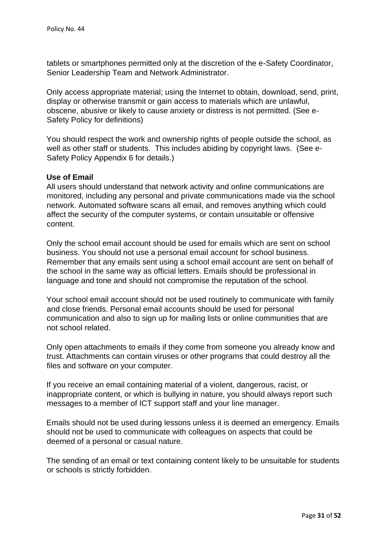tablets or smartphones permitted only at the discretion of the e-Safety Coordinator, Senior Leadership Team and Network Administrator.

Only access appropriate material; using the Internet to obtain, download, send, print, display or otherwise transmit or gain access to materials which are unlawful, obscene, abusive or likely to cause anxiety or distress is not permitted. (See e-Safety Policy for definitions)

You should respect the work and ownership rights of people outside the school, as well as other staff or students. This includes abiding by copyright laws. (See e-Safety Policy Appendix 6 for details.)

#### **Use of Email**

All users should understand that network activity and online communications are monitored, including any personal and private communications made via the school network. Automated software scans all email, and removes anything which could affect the security of the computer systems, or contain unsuitable or offensive content.

Only the school email account should be used for emails which are sent on school business. You should not use a personal email account for school business. Remember that any emails sent using a school email account are sent on behalf of the school in the same way as official letters. Emails should be professional in language and tone and should not compromise the reputation of the school.

Your school email account should not be used routinely to communicate with family and close friends. Personal email accounts should be used for personal communication and also to sign up for mailing lists or online communities that are not school related.

Only open attachments to emails if they come from someone you already know and trust. Attachments can contain viruses or other programs that could destroy all the files and software on your computer.

If you receive an email containing material of a violent, dangerous, racist, or inappropriate content, or which is bullying in nature, you should always report such messages to a member of ICT support staff and your line manager.

Emails should not be used during lessons unless it is deemed an emergency. Emails should not be used to communicate with colleagues on aspects that could be deemed of a personal or casual nature.

The sending of an email or text containing content likely to be unsuitable for students or schools is strictly forbidden.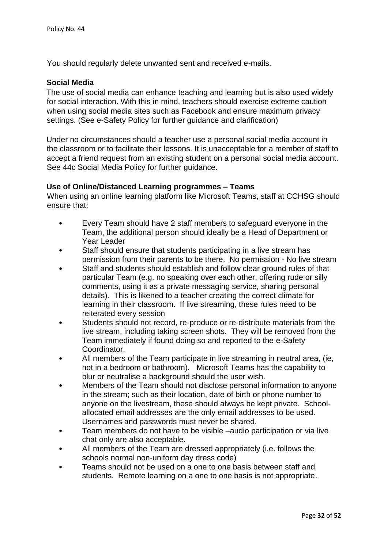You should regularly delete unwanted sent and received e-mails.

#### **Social Media**

The use of social media can enhance teaching and learning but is also used widely for social interaction. With this in mind, teachers should exercise extreme caution when using social media sites such as Facebook and ensure maximum privacy settings. (See e-Safety Policy for further guidance and clarification)

Under no circumstances should a teacher use a personal social media account in the classroom or to facilitate their lessons. It is unacceptable for a member of staff to accept a friend request from an existing student on a personal social media account. See 44c Social Media Policy for further guidance.

#### **Use of Online/Distanced Learning programmes – Teams**

When using an online learning platform like Microsoft Teams, staff at CCHSG should ensure that:

- Every Team should have 2 staff members to safeguard everyone in the Team, the additional person should ideally be a Head of Department or Year Leader
- Staff should ensure that students participating in a live stream has permission from their parents to be there. No permission - No live stream
- Staff and students should establish and follow clear ground rules of that particular Team (e.g. no speaking over each other, offering rude or silly comments, using it as a private messaging service, sharing personal details). This is likened to a teacher creating the correct climate for learning in their classroom. If live streaming, these rules need to be reiterated every session
- Students should not record, re-produce or re-distribute materials from the live stream, including taking screen shots. They will be removed from the Team immediately if found doing so and reported to the e-Safety Coordinator.
- All members of the Team participate in live streaming in neutral area, (ie, not in a bedroom or bathroom). Microsoft Teams has the capability to blur or neutralise a background should the user wish.
- Members of the Team should not disclose personal information to anyone in the stream; such as their location, date of birth or phone number to anyone on the livestream, these should always be kept private. Schoolallocated email addresses are the only email addresses to be used. Usernames and passwords must never be shared.
- Team members do not have to be visible –audio participation or via live chat only are also acceptable.
- All members of the Team are dressed appropriately (i.e. follows the schools normal non-uniform day dress code)
- Teams should not be used on a one to one basis between staff and students. Remote learning on a one to one basis is not appropriate.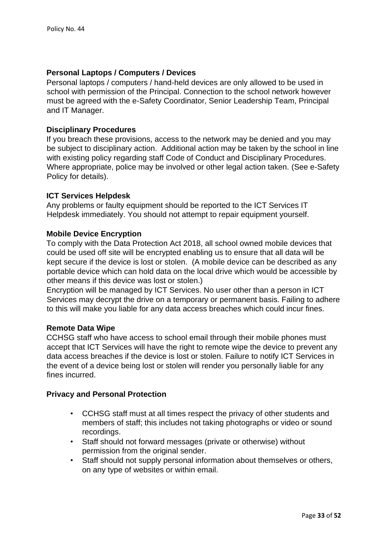#### **Personal Laptops / Computers / Devices**

Personal laptops / computers / hand-held devices are only allowed to be used in school with permission of the Principal. Connection to the school network however must be agreed with the e-Safety Coordinator, Senior Leadership Team, Principal and IT Manager.

#### **Disciplinary Procedures**

If you breach these provisions, access to the network may be denied and you may be subject to disciplinary action. Additional action may be taken by the school in line with existing policy regarding staff Code of Conduct and Disciplinary Procedures. Where appropriate, police may be involved or other legal action taken. (See e-Safety Policy for details).

#### **ICT Services Helpdesk**

Any problems or faulty equipment should be reported to the ICT Services IT Helpdesk immediately. You should not attempt to repair equipment yourself.

#### **Mobile Device Encryption**

To comply with the Data Protection Act 2018, all school owned mobile devices that could be used off site will be encrypted enabling us to ensure that all data will be kept secure if the device is lost or stolen. (A mobile device can be described as any portable device which can hold data on the local drive which would be accessible by other means if this device was lost or stolen.)

Encryption will be managed by ICT Services. No user other than a person in ICT Services may decrypt the drive on a temporary or permanent basis. Failing to adhere to this will make you liable for any data access breaches which could incur fines.

#### **Remote Data Wipe**

CCHSG staff who have access to school email through their mobile phones must accept that ICT Services will have the right to remote wipe the device to prevent any data access breaches if the device is lost or stolen. Failure to notify ICT Services in the event of a device being lost or stolen will render you personally liable for any fines incurred.

#### **Privacy and Personal Protection**

- CCHSG staff must at all times respect the privacy of other students and members of staff; this includes not taking photographs or video or sound recordings.
- Staff should not forward messages (private or otherwise) without permission from the original sender.
- Staff should not supply personal information about themselves or others, on any type of websites or within email.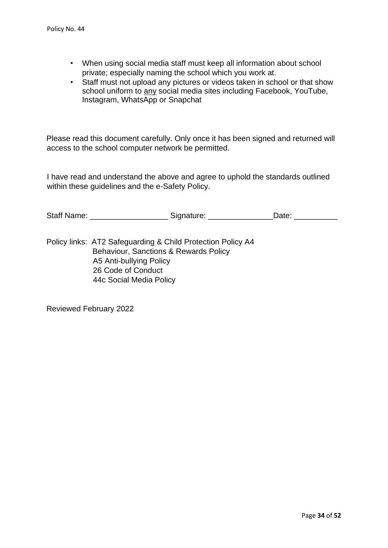- When using social media staff must keep all information about school private; especially naming the school which you work at.
- Staff must not upload any pictures or videos taken in school or that show school uniform to any social media sites including Facebook, YouTube, Instagram, WhatsApp or Snapchat

Please read this document carefully. Only once it has been signed and returned will access to the school computer network be permitted.

I have read and understand the above and agree to uphold the standards outlined within these guidelines and the e-Safety Policy.

| <b>Staff Name:</b> | Signature: | Date: |  |
|--------------------|------------|-------|--|
|                    |            |       |  |

Policy links: AT2 Safeguarding & Child Protection Policy A4 Behaviour, Sanctions & Rewards Policy A5 Anti-bullying Policy 26 Code of Conduct 44c Social Media Policy

Reviewed February 2022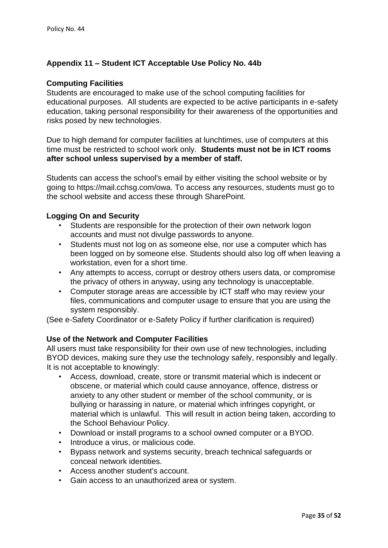### **Appendix 11 – Student ICT Acceptable Use Policy No. 44b**

#### **Computing Facilities**

Students are encouraged to make use of the school computing facilities for educational purposes. All students are expected to be active participants in e-safety education, taking personal responsibility for their awareness of the opportunities and risks posed by new technologies.

Due to high demand for computer facilities at lunchtimes, use of computers at this time must be restricted to school work only. **Students must not be in ICT rooms after school unless supervised by a member of staff.** 

Students can access the school's email by either visiting the school website or by going to https://mail.cchsg.com/owa. To access any resources, students must go to the school website and access these through SharePoint.

#### **Logging On and Security**

- Students are responsible for the protection of their own network logon accounts and must not divulge passwords to anyone.
- Students must not log on as someone else, nor use a computer which has been logged on by someone else. Students should also log off when leaving a workstation, even for a short time.
- Any attempts to access, corrupt or destroy others users data, or compromise the privacy of others in anyway, using any technology is unacceptable.
- Computer storage areas are accessible by ICT staff who may review your files, communications and computer usage to ensure that you are using the system responsibly.

(See e-Safety Coordinator or e-Safety Policy if further clarification is required)

### **Use of the Network and Computer Facilities**

All users must take responsibility for their own use of new technologies, including BYOD devices, making sure they use the technology safely, responsibly and legally. It is not acceptable to knowingly:

- Access, download, create, store or transmit material which is indecent or obscene, or material which could cause annoyance, offence, distress or anxiety to any other student or member of the school community, or is bullying or harassing in nature, or material which infringes copyright, or material which is unlawful. This will result in action being taken, according to the School Behaviour Policy.
- Download or install programs to a school owned computer or a BYOD.
- Introduce a virus, or malicious code.
- Bypass network and systems security, breach technical safeguards or conceal network identities.
- Access another student's account.
- Gain access to an unauthorized area or system.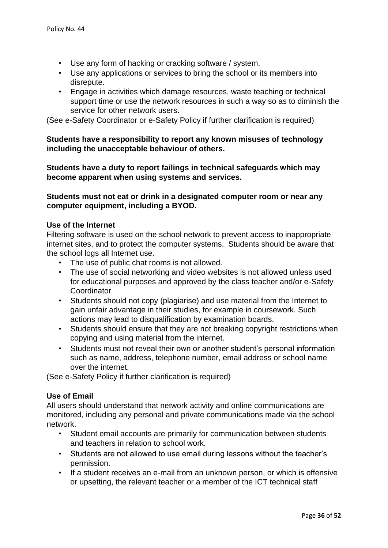- Use any form of hacking or cracking software / system.
- Use any applications or services to bring the school or its members into disrepute.
- Engage in activities which damage resources, waste teaching or technical support time or use the network resources in such a way so as to diminish the service for other network users.

(See e-Safety Coordinator or e-Safety Policy if further clarification is required)

### **Students have a responsibility to report any known misuses of technology including the unacceptable behaviour of others.**

**Students have a duty to report failings in technical safeguards which may become apparent when using systems and services.** 

**Students must not eat or drink in a designated computer room or near any computer equipment, including a BYOD.** 

#### **Use of the Internet**

Filtering software is used on the school network to prevent access to inappropriate internet sites, and to protect the computer systems. Students should be aware that the school logs all Internet use.

- The use of public chat rooms is not allowed.
- The use of social networking and video websites is not allowed unless used for educational purposes and approved by the class teacher and/or e-Safety **Coordinator**
- Students should not copy (plagiarise) and use material from the Internet to gain unfair advantage in their studies, for example in coursework. Such actions may lead to disqualification by examination boards.
- Students should ensure that they are not breaking copyright restrictions when copying and using material from the internet.
- Students must not reveal their own or another student's personal information such as name, address, telephone number, email address or school name over the internet.

(See e-Safety Policy if further clarification is required)

### **Use of Email**

All users should understand that network activity and online communications are monitored, including any personal and private communications made via the school network.

- Student email accounts are primarily for communication between students and teachers in relation to school work.
- Students are not allowed to use email during lessons without the teacher's permission.
- If a student receives an e-mail from an unknown person, or which is offensive or upsetting, the relevant teacher or a member of the ICT technical staff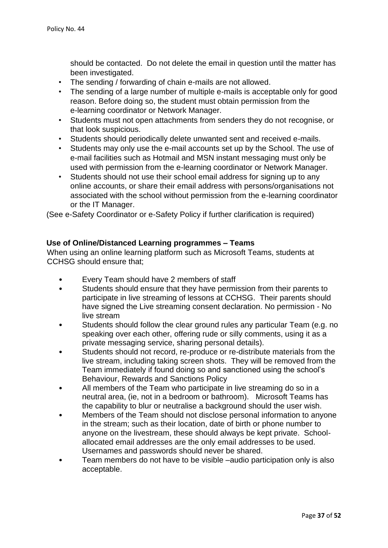should be contacted. Do not delete the email in question until the matter has been investigated.

- The sending / forwarding of chain e-mails are not allowed.
- The sending of a large number of multiple e-mails is acceptable only for good reason. Before doing so, the student must obtain permission from the e-learning coordinator or Network Manager.
- Students must not open attachments from senders they do not recognise, or that look suspicious.
- Students should periodically delete unwanted sent and received e-mails.
- Students may only use the e-mail accounts set up by the School. The use of e-mail facilities such as Hotmail and MSN instant messaging must only be used with permission from the e-learning coordinator or Network Manager.
- Students should not use their school email address for signing up to any online accounts, or share their email address with persons/organisations not associated with the school without permission from the e-learning coordinator or the IT Manager.

(See e-Safety Coordinator or e-Safety Policy if further clarification is required)

### **Use of Online/Distanced Learning programmes – Teams**

When using an online learning platform such as Microsoft Teams, students at CCHSG should ensure that;

- Every Team should have 2 members of staff
- Students should ensure that they have permission from their parents to participate in live streaming of lessons at CCHSG. Their parents should have signed the Live streaming consent declaration. No permission - No live stream
- Students should follow the clear ground rules any particular Team (e.g. no speaking over each other, offering rude or silly comments, using it as a private messaging service, sharing personal details).
- Students should not record, re-produce or re-distribute materials from the live stream, including taking screen shots. They will be removed from the Team immediately if found doing so and sanctioned using the school's Behaviour, Rewards and Sanctions Policy
- All members of the Team who participate in live streaming do so in a neutral area, (ie, not in a bedroom or bathroom). Microsoft Teams has the capability to blur or neutralise a background should the user wish.
- Members of the Team should not disclose personal information to anyone in the stream; such as their location, date of birth or phone number to anyone on the livestream, these should always be kept private. Schoolallocated email addresses are the only email addresses to be used. Usernames and passwords should never be shared.
- Team members do not have to be visible –audio participation only is also acceptable.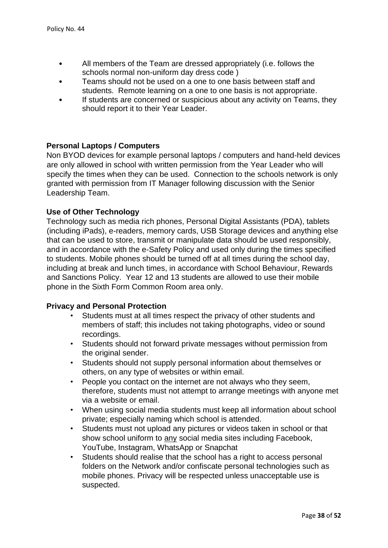- All members of the Team are dressed appropriately (i.e. follows the schools normal non-uniform day dress code )
- Teams should not be used on a one to one basis between staff and students. Remote learning on a one to one basis is not appropriate.
- If students are concerned or suspicious about any activity on Teams, they should report it to their Year Leader.

### **Personal Laptops / Computers**

Non BYOD devices for example personal laptops / computers and hand-held devices are only allowed in school with written permission from the Year Leader who will specify the times when they can be used. Connection to the schools network is only granted with permission from IT Manager following discussion with the Senior Leadership Team.

### **Use of Other Technology**

Technology such as media rich phones, Personal Digital Assistants (PDA), tablets (including iPads), e-readers, memory cards, USB Storage devices and anything else that can be used to store, transmit or manipulate data should be used responsibly, and in accordance with the e-Safety Policy and used only during the times specified to students. Mobile phones should be turned off at all times during the school day, including at break and lunch times, in accordance with School Behaviour, Rewards and Sanctions Policy. Year 12 and 13 students are allowed to use their mobile phone in the Sixth Form Common Room area only.

### **Privacy and Personal Protection**

- Students must at all times respect the privacy of other students and members of staff; this includes not taking photographs, video or sound recordings.
- Students should not forward private messages without permission from the original sender.
- Students should not supply personal information about themselves or others, on any type of websites or within email.
- People you contact on the internet are not always who they seem, therefore, students must not attempt to arrange meetings with anyone met via a website or email.
- When using social media students must keep all information about school private; especially naming which school is attended.
- Students must not upload any pictures or videos taken in school or that show school uniform to any social media sites including Facebook, YouTube, Instagram, WhatsApp or Snapchat
- Students should realise that the school has a right to access personal folders on the Network and/or confiscate personal technologies such as mobile phones. Privacy will be respected unless unacceptable use is suspected.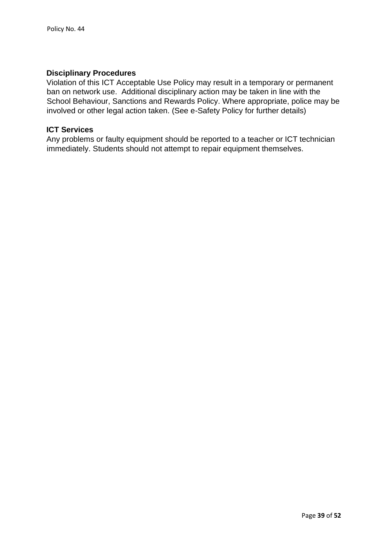### **Disciplinary Procedures**

Violation of this ICT Acceptable Use Policy may result in a temporary or permanent ban on network use. Additional disciplinary action may be taken in line with the School Behaviour, Sanctions and Rewards Policy. Where appropriate, police may be involved or other legal action taken. (See e-Safety Policy for further details)

#### **ICT Services**

Any problems or faulty equipment should be reported to a teacher or ICT technician immediately. Students should not attempt to repair equipment themselves.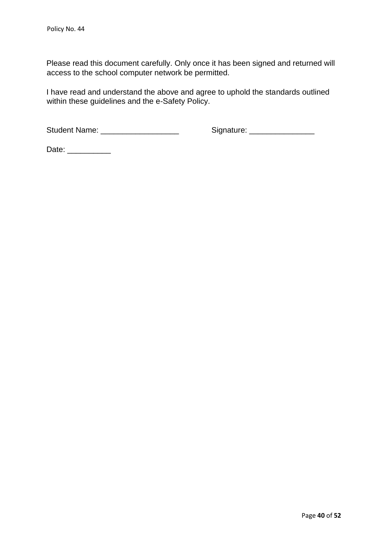Please read this document carefully. Only once it has been signed and returned will access to the school computer network be permitted.

I have read and understand the above and agree to uphold the standards outlined within these guidelines and the e-Safety Policy.

Student Name: \_\_\_\_\_\_\_\_\_\_\_\_\_\_\_\_\_\_ Signature: \_\_\_\_\_\_\_\_\_\_\_\_\_\_\_

Date: \_\_\_\_\_\_\_\_\_\_\_\_\_\_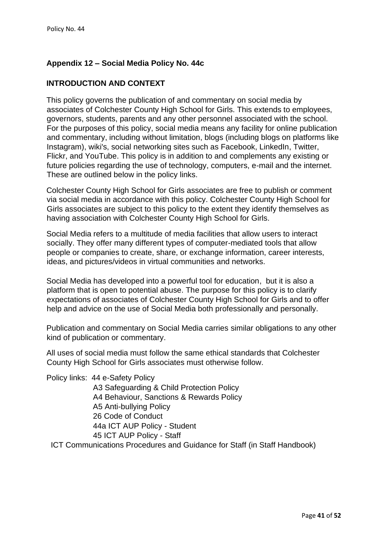# **Appendix 12 – Social Media Policy No. 44c**

# **INTRODUCTION AND CONTEXT**

This policy governs the publication of and commentary on social media by associates of Colchester County High School for Girls. This extends to employees, governors, students, parents and any other personnel associated with the school. For the purposes of this policy, social media means any facility for online publication and commentary, including without limitation, blogs (including blogs on platforms like Instagram), wiki's, social networking sites such as Facebook, LinkedIn, Twitter, Flickr, and YouTube. This policy is in addition to and complements any existing or future policies regarding the use of technology, computers, e-mail and the internet. These are outlined below in the policy links.

Colchester County High School for Girls associates are free to publish or comment via social media in accordance with this policy. Colchester County High School for Girls associates are subject to this policy to the extent they identify themselves as having association with Colchester County High School for Girls.

Social Media refers to a multitude of media facilities that allow users to interact socially. They offer many different types of computer-mediated tools that allow people or companies to create, share, or exchange information, career interests, ideas, and pictures/videos in virtual communities and networks.

Social Media has developed into a powerful tool for education, but it is also a platform that is open to potential abuse. The purpose for this policy is to clarify expectations of associates of Colchester County High School for Girls and to offer help and advice on the use of Social Media both professionally and personally.

Publication and commentary on Social Media carries similar obligations to any other kind of publication or commentary.

All uses of social media must follow the same ethical standards that Colchester County High School for Girls associates must otherwise follow.

Policy links: 44 e-Safety Policy

A3 Safeguarding & Child Protection Policy A4 Behaviour, Sanctions & Rewards Policy A5 Anti-bullying Policy 26 Code of Conduct 44a ICT AUP Policy - Student 45 ICT AUP Policy - Staff

ICT Communications Procedures and Guidance for Staff (in Staff Handbook)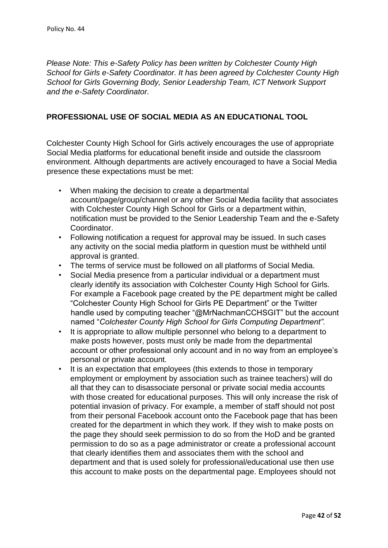*Please Note: This e-Safety Policy has been written by Colchester County High School for Girls e-Safety Coordinator. It has been agreed by Colchester County High School for Girls Governing Body, Senior Leadership Team, ICT Network Support and the e-Safety Coordinator.* 

# **PROFESSIONAL USE OF SOCIAL MEDIA AS AN EDUCATIONAL TOOL**

Colchester County High School for Girls actively encourages the use of appropriate Social Media platforms for educational benefit inside and outside the classroom environment. Although departments are actively encouraged to have a Social Media presence these expectations must be met:

- When making the decision to create a departmental account/page/group/channel or any other Social Media facility that associates with Colchester County High School for Girls or a department within, notification must be provided to the Senior Leadership Team and the e-Safety Coordinator.
- Following notification a request for approval may be issued. In such cases any activity on the social media platform in question must be withheld until approval is granted.
- The terms of service must be followed on all platforms of Social Media.
- Social Media presence from a particular individual or a department must clearly identify its association with Colchester County High School for Girls. For example a Facebook page created by the PE department might be called "Colchester County High School for Girls PE Department" or the Twitter handle used by computing teacher "@MrNachmanCCHSGIT" but the account named "*Colchester County High School for Girls Computing Department".*
- It is appropriate to allow multiple personnel who belong to a department to make posts however, posts must only be made from the departmental account or other professional only account and in no way from an employee's personal or private account.
- It is an expectation that employees (this extends to those in temporary employment or employment by association such as trainee teachers) will do all that they can to disassociate personal or private social media accounts with those created for educational purposes. This will only increase the risk of potential invasion of privacy. For example, a member of staff should not post from their personal Facebook account onto the Facebook page that has been created for the department in which they work. If they wish to make posts on the page they should seek permission to do so from the HoD and be granted permission to do so as a page administrator or create a professional account that clearly identifies them and associates them with the school and department and that is used solely for professional/educational use then use this account to make posts on the departmental page. Employees should not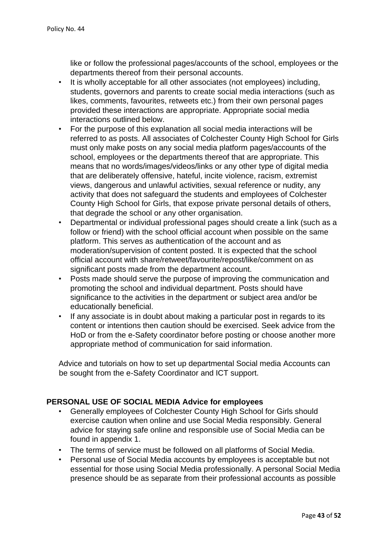like or follow the professional pages/accounts of the school, employees or the departments thereof from their personal accounts.

- It is wholly acceptable for all other associates (not employees) including, students, governors and parents to create social media interactions (such as likes, comments, favourites, retweets etc.) from their own personal pages provided these interactions are appropriate. Appropriate social media interactions outlined below.
- For the purpose of this explanation all social media interactions will be referred to as posts. All associates of Colchester County High School for Girls must only make posts on any social media platform pages/accounts of the school, employees or the departments thereof that are appropriate. This means that no words/images/videos/links or any other type of digital media that are deliberately offensive, hateful, incite violence, racism, extremist views, dangerous and unlawful activities, sexual reference or nudity, any activity that does not safeguard the students and employees of Colchester County High School for Girls, that expose private personal details of others, that degrade the school or any other organisation.
- Departmental or individual professional pages should create a link (such as a follow or friend) with the school official account when possible on the same platform. This serves as authentication of the account and as moderation/supervision of content posted. It is expected that the school official account with share/retweet/favourite/repost/like/comment on as significant posts made from the department account.
- Posts made should serve the purpose of improving the communication and promoting the school and individual department. Posts should have significance to the activities in the department or subject area and/or be educationally beneficial.
- If any associate is in doubt about making a particular post in regards to its content or intentions then caution should be exercised. Seek advice from the HoD or from the e-Safety coordinator before posting or choose another more appropriate method of communication for said information.

Advice and tutorials on how to set up departmental Social media Accounts can be sought from the e-Safety Coordinator and ICT support.

# **PERSONAL USE OF SOCIAL MEDIA Advice for employees**

- Generally employees of Colchester County High School for Girls should exercise caution when online and use Social Media responsibly. General advice for staying safe online and responsible use of Social Media can be found in appendix 1.
- The terms of service must be followed on all platforms of Social Media.
- Personal use of Social Media accounts by employees is acceptable but not essential for those using Social Media professionally. A personal Social Media presence should be as separate from their professional accounts as possible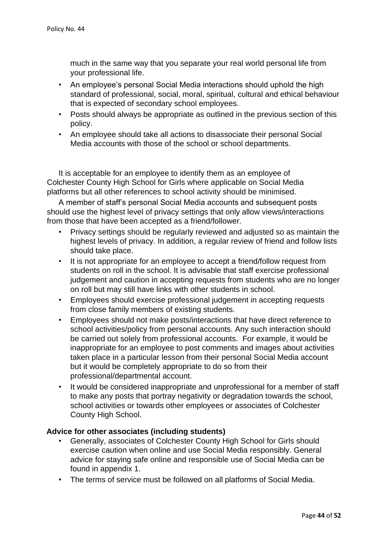much in the same way that you separate your real world personal life from your professional life.

- An employee's personal Social Media interactions should uphold the high standard of professional, social, moral, spiritual, cultural and ethical behaviour that is expected of secondary school employees.
- Posts should always be appropriate as outlined in the previous section of this policy.
- An employee should take all actions to disassociate their personal Social Media accounts with those of the school or school departments.

It is acceptable for an employee to identify them as an employee of Colchester County High School for Girls where applicable on Social Media platforms but all other references to school activity should be minimised.

A member of staff's personal Social Media accounts and subsequent posts should use the highest level of privacy settings that only allow views/interactions from those that have been accepted as a friend/follower.

- Privacy settings should be regularly reviewed and adjusted so as maintain the highest levels of privacy. In addition, a regular review of friend and follow lists should take place.
- It is not appropriate for an employee to accept a friend/follow request from students on roll in the school. It is advisable that staff exercise professional judgement and caution in accepting requests from students who are no longer on roll but may still have links with other students in school.
- Employees should exercise professional judgement in accepting requests from close family members of existing students.
- Employees should not make posts/interactions that have direct reference to school activities/policy from personal accounts. Any such interaction should be carried out solely from professional accounts. For example, it would be inappropriate for an employee to post comments and images about activities taken place in a particular lesson from their personal Social Media account but it would be completely appropriate to do so from their professional/departmental account.
- It would be considered inappropriate and unprofessional for a member of staff to make any posts that portray negativity or degradation towards the school, school activities or towards other employees or associates of Colchester County High School.

### **Advice for other associates (including students)**

- Generally, associates of Colchester County High School for Girls should exercise caution when online and use Social Media responsibly. General advice for staying safe online and responsible use of Social Media can be found in appendix 1.
- The terms of service must be followed on all platforms of Social Media.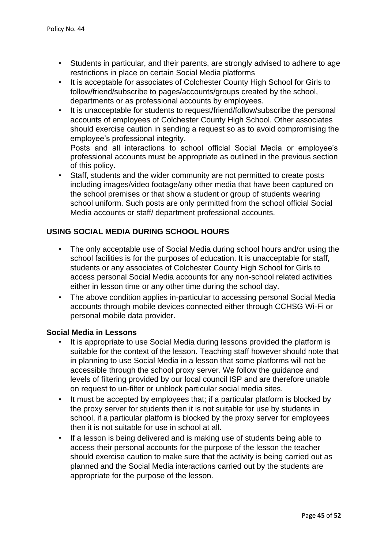- Students in particular, and their parents, are strongly advised to adhere to age restrictions in place on certain Social Media platforms
- It is acceptable for associates of Colchester County High School for Girls to follow/friend/subscribe to pages/accounts/groups created by the school, departments or as professional accounts by employees.
- It is unacceptable for students to request/friend/follow/subscribe the personal accounts of employees of Colchester County High School. Other associates should exercise caution in sending a request so as to avoid compromising the employee's professional integrity.

Posts and all interactions to school official Social Media or employee's professional accounts must be appropriate as outlined in the previous section of this policy.

Staff, students and the wider community are not permitted to create posts including images/video footage/any other media that have been captured on the school premises or that show a student or group of students wearing school uniform. Such posts are only permitted from the school official Social Media accounts or staff/ department professional accounts.

### **USING SOCIAL MEDIA DURING SCHOOL HOURS**

- The only acceptable use of Social Media during school hours and/or using the school facilities is for the purposes of education. It is unacceptable for staff, students or any associates of Colchester County High School for Girls to access personal Social Media accounts for any non-school related activities either in lesson time or any other time during the school day.
- The above condition applies in-particular to accessing personal Social Media accounts through mobile devices connected either through CCHSG Wi-Fi or personal mobile data provider.

#### **Social Media in Lessons**

- It is appropriate to use Social Media during lessons provided the platform is suitable for the context of the lesson. Teaching staff however should note that in planning to use Social Media in a lesson that some platforms will not be accessible through the school proxy server. We follow the guidance and levels of filtering provided by our local council ISP and are therefore unable on request to un-filter or unblock particular social media sites.
- It must be accepted by employees that; if a particular platform is blocked by the proxy server for students then it is not suitable for use by students in school, if a particular platform is blocked by the proxy server for employees then it is not suitable for use in school at all.
- If a lesson is being delivered and is making use of students being able to access their personal accounts for the purpose of the lesson the teacher should exercise caution to make sure that the activity is being carried out as planned and the Social Media interactions carried out by the students are appropriate for the purpose of the lesson.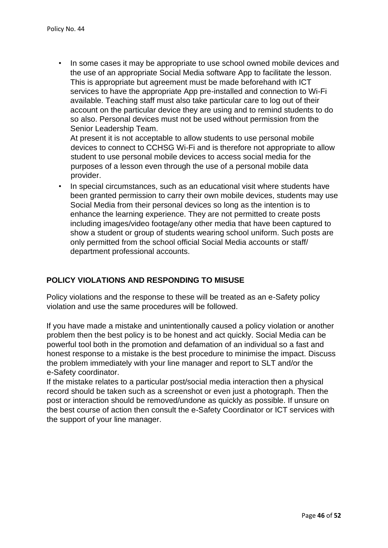• In some cases it may be appropriate to use school owned mobile devices and the use of an appropriate Social Media software App to facilitate the lesson. This is appropriate but agreement must be made beforehand with ICT services to have the appropriate App pre-installed and connection to Wi-Fi available. Teaching staff must also take particular care to log out of their account on the particular device they are using and to remind students to do so also. Personal devices must not be used without permission from the Senior Leadership Team.

At present it is not acceptable to allow students to use personal mobile devices to connect to CCHSG Wi-Fi and is therefore not appropriate to allow student to use personal mobile devices to access social media for the purposes of a lesson even through the use of a personal mobile data provider.

• In special circumstances, such as an educational visit where students have been granted permission to carry their own mobile devices, students may use Social Media from their personal devices so long as the intention is to enhance the learning experience. They are not permitted to create posts including images/video footage/any other media that have been captured to show a student or group of students wearing school uniform. Such posts are only permitted from the school official Social Media accounts or staff/ department professional accounts.

# **POLICY VIOLATIONS AND RESPONDING TO MISUSE**

Policy violations and the response to these will be treated as an e-Safety policy violation and use the same procedures will be followed.

If you have made a mistake and unintentionally caused a policy violation or another problem then the best policy is to be honest and act quickly. Social Media can be powerful tool both in the promotion and defamation of an individual so a fast and honest response to a mistake is the best procedure to minimise the impact. Discuss the problem immediately with your line manager and report to SLT and/or the e-Safety coordinator.

If the mistake relates to a particular post/social media interaction then a physical record should be taken such as a screenshot or even just a photograph. Then the post or interaction should be removed/undone as quickly as possible. If unsure on the best course of action then consult the e-Safety Coordinator or ICT services with the support of your line manager.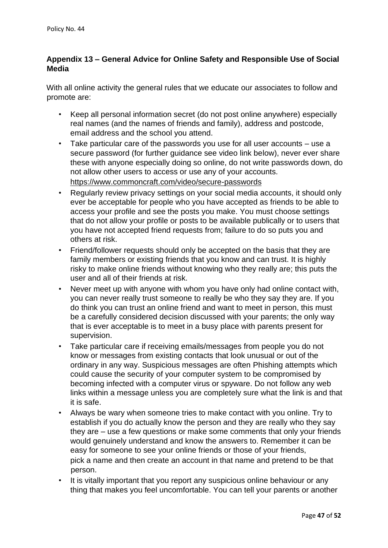### **Appendix 13 – General Advice for Online Safety and Responsible Use of Social Media**

With all online activity the general rules that we educate our associates to follow and promote are:

- Keep all personal information secret (do not post online anywhere) especially real names (and the names of friends and family), address and postcode, email address and the school you attend.
- Take particular care of the passwords you use for all user accounts use a secure password (for further guidance see video link below), never ever share these with anyone especially doing so online, do not write passwords down, do not allow other users to access or use any of your accounts. <https://www.commoncraft.com/video/secure-passwords>
- Regularly review privacy settings on your social media accounts, it should only ever be acceptable for people who you have accepted as friends to be able to access your profile and see the posts you make. You must choose settings that do not allow your profile or posts to be available publically or to users that you have not accepted friend requests from; failure to do so puts you and others at risk.
- Friend/follower requests should only be accepted on the basis that they are family members or existing friends that you know and can trust. It is highly risky to make online friends without knowing who they really are; this puts the user and all of their friends at risk.
- Never meet up with anyone with whom you have only had online contact with, you can never really trust someone to really be who they say they are. If you do think you can trust an online friend and want to meet in person, this must be a carefully considered decision discussed with your parents; the only way that is ever acceptable is to meet in a busy place with parents present for supervision.
- Take particular care if receiving emails/messages from people you do not know or messages from existing contacts that look unusual or out of the ordinary in any way. Suspicious messages are often Phishing attempts which could cause the security of your computer system to be compromised by becoming infected with a computer virus or spyware. Do not follow any web links within a message unless you are completely sure what the link is and that it is safe.
- Always be wary when someone tries to make contact with you online. Try to establish if you do actually know the person and they are really who they say they are – use a few questions or make some comments that only your friends would genuinely understand and know the answers to. Remember it can be easy for someone to see your online friends or those of your friends, pick a name and then create an account in that name and pretend to be that person.
- It is vitally important that you report any suspicious online behaviour or any thing that makes you feel uncomfortable. You can tell your parents or another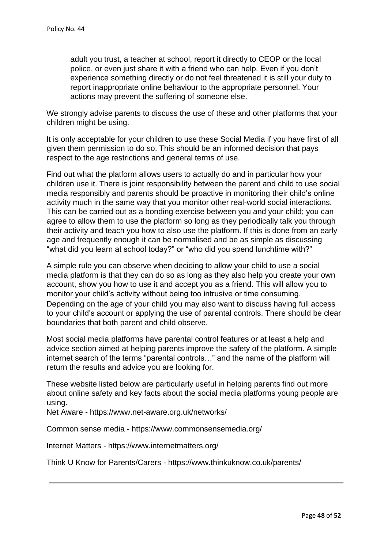adult you trust, a teacher at school, report it directly to CEOP or the local police, or even just share it with a friend who can help. Even if you don't experience something directly or do not feel threatened it is still your duty to report inappropriate online behaviour to the appropriate personnel. Your actions may prevent the suffering of someone else.

We strongly advise parents to discuss the use of these and other platforms that your children might be using.

It is only acceptable for your children to use these Social Media if you have first of all given them permission to do so. This should be an informed decision that pays respect to the age restrictions and general terms of use.

Find out what the platform allows users to actually do and in particular how your children use it. There is joint responsibility between the parent and child to use social media responsibly and parents should be proactive in monitoring their child's online activity much in the same way that you monitor other real-world social interactions. This can be carried out as a bonding exercise between you and your child; you can agree to allow them to use the platform so long as they periodically talk you through their activity and teach you how to also use the platform. If this is done from an early age and frequently enough it can be normalised and be as simple as discussing "what did you learn at school today?" or "who did you spend lunchtime with?"

A simple rule you can observe when deciding to allow your child to use a social media platform is that they can do so as long as they also help you create your own account, show you how to use it and accept you as a friend. This will allow you to monitor your child's activity without being too intrusive or time consuming. Depending on the age of your child you may also want to discuss having full access to your child's account or applying the use of parental controls. There should be clear boundaries that both parent and child observe.

Most social media platforms have parental control features or at least a help and advice section aimed at helping parents improve the safety of the platform. A simple internet search of the terms "parental controls…" and the name of the platform will return the results and advice you are looking for.

These website listed below are particularly useful in helping parents find out more about online safety and key facts about the social media platforms young people are using.

Net Aware [-](https://www.net-aware.org.uk/networks/) <https://www.net-aware.org.uk/networks/>

Common sense media [-](https://www.commonsensemedia.org/) <https://www.commonsensemedia.org/>

Internet Matters [-](https://www.internetmatters.org/) <https://www.internetmatters.org/>

Think U Know for Parents/Carers [-](https://www.thinkuknow.co.uk/parents/) <https://www.thinkuknow.co.uk/parents/>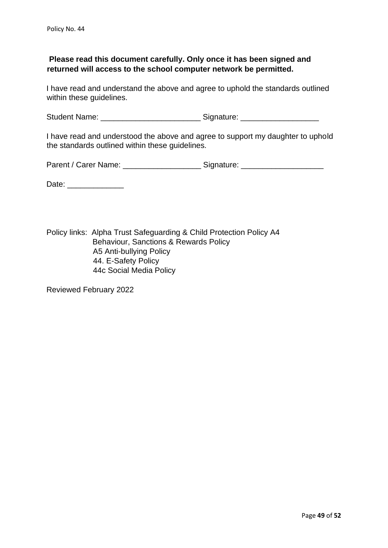### **Please read this document carefully. Only once it has been signed and returned will access to the school computer network be permitted.**

I have read and understand the above and agree to uphold the standards outlined within these guidelines.

Student Name: \_\_\_\_\_\_\_\_\_\_\_\_\_\_\_\_\_\_\_\_\_\_\_\_\_\_\_\_\_\_\_\_\_\_Signature: \_\_\_\_\_\_\_\_\_\_\_\_\_\_\_\_\_\_\_\_\_

I have read and understood the above and agree to support my daughter to uphold the standards outlined within these guidelines.

Parent / Carer Name: \_\_\_\_\_\_\_\_\_\_\_\_\_\_\_\_\_\_\_\_\_\_\_\_\_\_ Signature: \_\_\_\_\_\_\_\_\_\_\_\_\_\_\_\_\_\_\_\_\_

Date: \_\_\_\_\_\_\_\_\_\_\_\_\_

Policy links: Alpha Trust Safeguarding & Child Protection Policy A4 Behaviour, Sanctions & Rewards Policy A5 Anti-bullying Policy 44. E-Safety Policy 44c Social Media Policy

Reviewed February 2022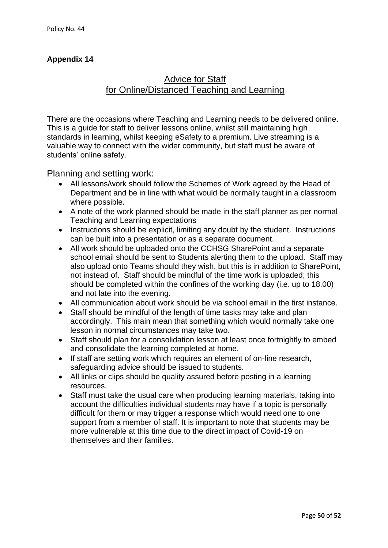# **Appendix 14**

# Advice for Staff for Online/Distanced Teaching and Learning

There are the occasions where Teaching and Learning needs to be delivered online. This is a guide for staff to deliver lessons online, whilst still maintaining high standards in learning, whilst keeping eSafety to a premium. Live streaming is a valuable way to connect with the wider community, but staff must be aware of students' online safety.

Planning and setting work:

- All lessons/work should follow the Schemes of Work agreed by the Head of Department and be in line with what would be normally taught in a classroom where possible.
- A note of the work planned should be made in the staff planner as per normal Teaching and Learning expectations
- Instructions should be explicit, limiting any doubt by the student. Instructions can be built into a presentation or as a separate document.
- All work should be uploaded onto the CCHSG SharePoint and a separate school email should be sent to Students alerting them to the upload. Staff may also upload onto Teams should they wish, but this is in addition to SharePoint, not instead of. Staff should be mindful of the time work is uploaded; this should be completed within the confines of the working day (i.e. up to 18.00) and not late into the evening.
- All communication about work should be via school email in the first instance.
- Staff should be mindful of the length of time tasks may take and plan accordingly. This main mean that something which would normally take one lesson in normal circumstances may take two.
- Staff should plan for a consolidation lesson at least once fortnightly to embed and consolidate the learning completed at home.
- If staff are setting work which requires an element of on-line research, safeguarding advice should be issued to students.
- All links or clips should be quality assured before posting in a learning resources.
- Staff must take the usual care when producing learning materials, taking into account the difficulties individual students may have if a topic is personally difficult for them or may trigger a response which would need one to one support from a member of staff. It is important to note that students may be more vulnerable at this time due to the direct impact of Covid-19 on themselves and their families.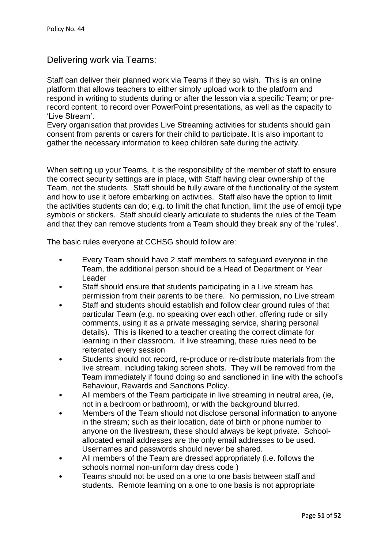# Delivering work via Teams:

Staff can deliver their planned work via Teams if they so wish. This is an online platform that allows teachers to either simply upload work to the platform and respond in writing to students during or after the lesson via a specific Team; or prerecord content, to record over PowerPoint presentations, as well as the capacity to 'Live Stream'.

Every organisation that provides Live Streaming activities for students should gain consent from parents or carers for their child to participate. It is also important to gather the necessary information to keep children safe during the activity.

When setting up your Teams, it is the responsibility of the member of staff to ensure the correct security settings are in place, with Staff having clear ownership of the Team, not the students. Staff should be fully aware of the functionality of the system and how to use it before embarking on activities. Staff also have the option to limit the activities students can do; e.g. to limit the chat function, limit the use of emoji type symbols or stickers. Staff should clearly articulate to students the rules of the Team and that they can remove students from a Team should they break any of the 'rules'.

The basic rules everyone at CCHSG should follow are:

- Every Team should have 2 staff members to safeguard everyone in the Team, the additional person should be a Head of Department or Year Leader
- Staff should ensure that students participating in a Live stream has permission from their parents to be there. No permission, no Live stream
- Staff and students should establish and follow clear ground rules of that particular Team (e.g. no speaking over each other, offering rude or silly comments, using it as a private messaging service, sharing personal details). This is likened to a teacher creating the correct climate for learning in their classroom. If live streaming, these rules need to be reiterated every session
- Students should not record, re-produce or re-distribute materials from the live stream, including taking screen shots. They will be removed from the Team immediately if found doing so and sanctioned in line with the school's Behaviour, Rewards and Sanctions Policy.
- All members of the Team participate in live streaming in neutral area, (ie, not in a bedroom or bathroom), or with the background blurred.
- Members of the Team should not disclose personal information to anyone in the stream; such as their location, date of birth or phone number to anyone on the livestream, these should always be kept private. Schoolallocated email addresses are the only email addresses to be used. Usernames and passwords should never be shared.
- All members of the Team are dressed appropriately (i.e. follows the schools normal non-uniform day dress code )
- Teams should not be used on a one to one basis between staff and students. Remote learning on a one to one basis is not appropriate